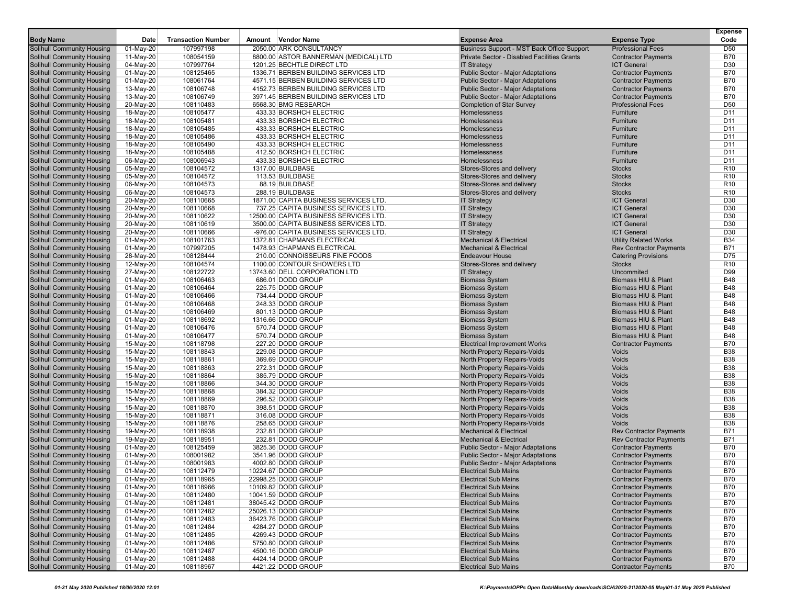|                                                                 |                        |                           |        |                                                                              |                                                                       |                                                          | <b>Expense</b><br>Code   |
|-----------------------------------------------------------------|------------------------|---------------------------|--------|------------------------------------------------------------------------------|-----------------------------------------------------------------------|----------------------------------------------------------|--------------------------|
| <b>Body Name</b>                                                | Date                   | <b>Transaction Number</b> | Amount | Vendor Name                                                                  | <b>Expense Area</b>                                                   | <b>Expense Type</b>                                      |                          |
| Solihull Community Housing                                      | 01-May-20              | 107997198                 |        | 2050.00 ARK CONSULTANCY                                                      | Business Support - MST Back Office Support                            | <b>Professional Fees</b>                                 | D <sub>50</sub>          |
| Solihull Community Housing                                      | 11-May-20              | 108054159                 |        | 8800.00 ASTOR BANNERMAN (MEDICAL) LTD                                        | Private Sector - Disabled Facilities Grants                           | <b>Contractor Payments</b>                               | <b>B70</b>               |
| Solihull Community Housing                                      | 04-May-20              | 107997764                 |        | 1201.25 BECHTLE DIRECT LTD                                                   | <b>IT Strategy</b>                                                    | <b>ICT General</b>                                       | D30<br><b>B70</b>        |
| Solihull Community Housing                                      | 01-May-20              | 108125465                 |        | 1336.71 BERBEN BUILDING SERVICES LTD<br>4571.15 BERBEN BUILDING SERVICES LTD | Public Sector - Major Adaptations                                     | <b>Contractor Payments</b><br><b>Contractor Payments</b> | <b>B70</b>               |
| Solihull Community Housing                                      | 01-May-20              | 108061764                 |        | 4152.73 BERBEN BUILDING SERVICES LTD                                         | Public Sector - Major Adaptations                                     |                                                          | <b>B70</b>               |
| <b>Solihull Community Housing</b>                               | 13-May-20              | 108106748                 |        | 3971.45 BERBEN BUILDING SERVICES LTD                                         | Public Sector - Major Adaptations                                     | <b>Contractor Payments</b>                               | <b>B70</b>               |
| Solihull Community Housing<br>Solihull Community Housing        | 13-May-20<br>20-May-20 | 108106749<br>108110483    |        | 6568.30 BMG RESEARCH                                                         | Public Sector - Major Adaptations<br><b>Completion of Star Survey</b> | <b>Contractor Payments</b><br><b>Professional Fees</b>   | D <sub>50</sub>          |
| <b>Solihull Community Housing</b>                               | 18-May-20              | 108105477                 |        | 433.33 BORSHCH ELECTRIC                                                      | Homelessness                                                          | Furniture                                                | D <sub>11</sub>          |
| Solihull Community Housing                                      | 18-May-20              | 108105481                 |        | 433.33 BORSHCH ELECTRIC                                                      | Homelessness                                                          | Furniture                                                | D <sub>11</sub>          |
| <b>Solihull Community Housing</b>                               | 18-May-20              | 108105485                 |        | 433.33 BORSHCH ELECTRIC                                                      | Homelessness                                                          | Furniture                                                | D11                      |
| Solihull Community Housing                                      | 18-May-20              | 108105486                 |        | 433.33 BORSHCH ELECTRIC                                                      | Homelessness                                                          | Furniture                                                | D <sub>11</sub>          |
| Solihull Community Housing                                      | 18-May-20              | 108105490                 |        | 433.33 BORSHCH ELECTRIC                                                      | Homelessness                                                          | Furniture                                                | D <sub>11</sub>          |
| Solihull Community Housing                                      | 18-May-20              | 108105488                 |        | 412.50 BORSHCH ELECTRIC                                                      | Homelessness                                                          | Furniture                                                | D <sub>11</sub>          |
| Solihull Community Housing                                      | 06-May-20              | 108006943                 |        | 433.33 BORSHCH ELECTRIC                                                      | Homelessness                                                          | Furniture                                                | D <sub>11</sub>          |
| Solihull Community Housing                                      | 05-May-20              | 108104572                 |        | 1317.00 BUILDBASE                                                            | Stores-Stores and delivery                                            | <b>Stocks</b>                                            | R <sub>10</sub>          |
| Solihull Community Housing                                      | 05-May-20              | 108104572                 |        | 113.53 BUILDBASE                                                             | Stores-Stores and delivery                                            | <b>Stocks</b>                                            | R <sub>10</sub>          |
| Solihull Community Housing                                      | 06-May-20              | 108104573                 |        | 88.19 BUILDBASE                                                              | Stores-Stores and delivery                                            | <b>Stocks</b>                                            | R <sub>10</sub>          |
| Solihull Community Housing                                      | 06-May-20              | 108104573                 |        | 288.19 BUILDBASE                                                             | Stores-Stores and delivery                                            | <b>Stocks</b>                                            | R <sub>10</sub>          |
| Solihull Community Housing                                      | 20-May-20              | 108110665                 |        | 1871.00 CAPITA BUSINESS SERVICES LTD.                                        | <b>IT Strategy</b>                                                    | <b>ICT General</b>                                       | D30                      |
| Solihull Community Housing                                      | 20-May-20              | 108110668                 |        | 737.25 CAPITA BUSINESS SERVICES LTD.                                         | <b>IT Strategy</b>                                                    | <b>ICT General</b>                                       | D30                      |
| Solihull Community Housing                                      | 20-May-20              | 108110622                 |        | 12500.00 CAPITA BUSINESS SERVICES LTD.                                       | <b>IT Strategy</b>                                                    | <b>ICT General</b>                                       | D30                      |
| Solihull Community Housing                                      | 20-May-20              | 108110619                 |        | 3500.00 CAPITA BUSINESS SERVICES LTD.                                        | <b>IT Strategy</b>                                                    | <b>ICT General</b>                                       | D30                      |
| Solihull Community Housing                                      | 20-May-20              | 108110666                 |        | -976.00 CAPITA BUSINESS SERVICES LTD.                                        | <b>IT Strategy</b>                                                    | <b>ICT General</b>                                       | D30                      |
| Solihull Community Housing                                      | 01-May-20              | 108101763                 |        | 1372.81 CHAPMANS ELECTRICAL                                                  | <b>Mechanical &amp; Electrical</b>                                    | <b>Utility Related Works</b>                             | <b>B34</b>               |
| Solihull Community Housing                                      | 01-May-20              | 107997205                 |        | 1478.93 CHAPMANS ELECTRICAL                                                  | <b>Mechanical &amp; Electrical</b>                                    | <b>Rev Contractor Payments</b>                           | <b>B71</b>               |
| Solihull Community Housing                                      | 28-May-20              | 108128444                 |        | 210.00 CONNOISSEURS FINE FOODS                                               | <b>Endeavour House</b>                                                | <b>Catering Provisions</b>                               | D75                      |
| Solihull Community Housing                                      | 12-May-20              | 108104574                 |        | 1100.00 CONTOUR SHOWERS LTD                                                  | Stores-Stores and delivery                                            | <b>Stocks</b>                                            | R <sub>10</sub>          |
| Solihull Community Housing                                      | 27-May-20              | 108122722                 |        | 13743.60 DELL CORPORATION LTD                                                | <b>IT Strategy</b>                                                    | Uncommited                                               | D99                      |
| Solihull Community Housing                                      | 01-May-20              | 108106463                 |        | 686.01 DODD GROUP                                                            | <b>Biomass System</b>                                                 | Biomass HIU & Plant                                      | <b>B48</b>               |
| <b>Solihull Community Housing</b>                               | 01-May-20              | 108106464                 |        | 225.75 DODD GROUP                                                            | <b>Biomass System</b>                                                 | <b>Biomass HIU &amp; Plant</b>                           | <b>B48</b>               |
| Solihull Community Housing                                      | 01-May-20              | 108106466                 |        | 734.44 DODD GROUP                                                            | <b>Biomass System</b>                                                 | Biomass HIU & Plant                                      | <b>B48</b>               |
| Solihull Community Housing                                      | 01-May-20              | 108106468                 |        | 248.33 DODD GROUP                                                            | <b>Biomass System</b>                                                 | Biomass HIU & Plant                                      | <b>B48</b>               |
| <b>Solihull Community Housing</b>                               | 01-May-20              | 108106469                 |        | 801.13 DODD GROUP                                                            | <b>Biomass System</b>                                                 | Biomass HIU & Plant                                      | <b>B48</b>               |
| Solihull Community Housing                                      | 01-May-20              | 108118692                 |        | 1316.66 DODD GROUP                                                           | <b>Biomass System</b>                                                 | Biomass HIU & Plant                                      | <b>B48</b>               |
| <b>Solihull Community Housing</b>                               | 01-May-20              | 108106476                 |        | 570.74 DODD GROUP                                                            | <b>Biomass System</b>                                                 | Biomass HIU & Plant                                      | <b>B48</b>               |
| Solihull Community Housing                                      | 01-May-20              | 108106477                 |        | 570.74 DODD GROUP                                                            | <b>Biomass System</b>                                                 | Biomass HIU & Plant                                      | <b>B48</b>               |
| Solihull Community Housing                                      | 15-May-20              | 108118798                 |        | 227.20 DODD GROUP                                                            | <b>Electrical Improvement Works</b>                                   | <b>Contractor Payments</b>                               | <b>B70</b>               |
| Solihull Community Housing                                      | 15-May-20              | 108118843                 |        | 229.08 DODD GROUP                                                            | North Property Repairs-Voids                                          | Voids                                                    | <b>B38</b>               |
| Solihull Community Housing                                      | 15-May-20              | 108118861                 |        | 369.69 DODD GROUP                                                            | North Property Repairs-Voids                                          | Voids                                                    | <b>B38</b>               |
| Solihull Community Housing                                      | 15-May-20              | 108118863                 |        | 272.31 DODD GROUP                                                            | North Property Repairs-Voids                                          | Voids                                                    | <b>B38</b>               |
| Solihull Community Housing                                      | 15-May-20              | 108118864                 |        | 385.79 DODD GROUP                                                            | North Property Repairs-Voids                                          | Voids                                                    | <b>B38</b>               |
| Solihull Community Housing                                      | 15-May-20              | 108118866                 |        | 344.30 DODD GROUP                                                            | North Property Repairs-Voids                                          | Voids                                                    | <b>B38</b>               |
| Solihull Community Housing                                      | 15-May-20              | 108118868                 |        | 384.32 DODD GROUP                                                            | North Property Repairs-Voids                                          | Voids                                                    | <b>B38</b>               |
| Solihull Community Housing                                      | 15-May-20              | 108118869                 |        | 296.52 DODD GROUP                                                            | North Property Repairs-Voids                                          | Voids                                                    | <b>B38</b>               |
| Solihull Community Housing                                      | 15-May-20              | 108118870                 |        | 398.51 DODD GROUP                                                            | <b>North Property Repairs-Voids</b>                                   | Voids                                                    | <b>B38</b>               |
| Solihull Community Housing                                      | 15-May-20              | 108118871                 |        | 316.08 DODD GROUP                                                            | North Property Repairs-Voids                                          | Voids                                                    | <b>B38</b>               |
| Solihull Community Housing                                      | 15-May-20<br>19-May-20 | 108118876                 |        | 258.65 DODD GROUP<br>232.81 DODD GROUP                                       | North Property Repairs-Voids<br><b>Mechanical &amp; Electrical</b>    | Voids<br><b>Rev Contractor Payments</b>                  | <b>B38</b><br><b>B71</b> |
| Solihull Community Housing<br>Solihull Community Housing        | 19-May-20              | 108118938<br>108118951    |        | 232.81 DODD GROUP                                                            | <b>Mechanical &amp; Electrical</b>                                    | <b>Rev Contractor Payments</b>                           | <b>B71</b>               |
|                                                                 |                        |                           |        | 3825.36 DODD GROUP                                                           | <b>Public Sector - Major Adaptations</b>                              |                                                          |                          |
| Solihull Community Housing<br><b>Solihull Community Housing</b> | 01-May-20<br>01-May-20 | 108125459<br>108001982    |        | 3541.96 DODD GROUP                                                           | <b>Public Sector - Major Adaptations</b>                              | <b>Contractor Payments</b><br><b>Contractor Payments</b> | <b>B70</b><br><b>B70</b> |
| Solihull Community Housing                                      | 01-May-20              | 108001983                 |        | 4002.80 DODD GROUP                                                           | <b>Public Sector - Major Adaptations</b>                              | <b>Contractor Payments</b>                               | <b>B70</b>               |
| <b>Solihull Community Housing</b>                               | $01$ -May-20           | 108112479                 |        | 10224.67 DODD GROUP                                                          | <b>Electrical Sub Mains</b>                                           | <b>Contractor Payments</b>                               | <b>B70</b>               |
| <b>Solihull Community Housing</b>                               | 01-May-20              | 108118965                 |        | 22998.25 DODD GROUP                                                          | <b>Electrical Sub Mains</b>                                           | <b>Contractor Payments</b>                               | <b>B70</b>               |
| <b>Solihull Community Housing</b>                               | 01-May-20              | 108118966                 |        | 10109.82 DODD GROUP                                                          | <b>Electrical Sub Mains</b>                                           | <b>Contractor Payments</b>                               | <b>B70</b>               |
| <b>Solihull Community Housing</b>                               | 01-May-20              | 108112480                 |        | 10041.59 DODD GROUP                                                          | <b>Electrical Sub Mains</b>                                           | <b>Contractor Payments</b>                               | <b>B70</b>               |
| <b>Solihull Community Housing</b>                               | 01-May-20              | 108112481                 |        | 38045.42 DODD GROUP                                                          | <b>Electrical Sub Mains</b>                                           | <b>Contractor Payments</b>                               | <b>B70</b>               |
| <b>Solihull Community Housing</b>                               | 01-May-20              | 108112482                 |        | 25026.13 DODD GROUP                                                          | <b>Electrical Sub Mains</b>                                           | <b>Contractor Payments</b>                               | <b>B70</b>               |
| <b>Solihull Community Housing</b>                               | 01-May-20              | 108112483                 |        | 36423.76 DODD GROUP                                                          | <b>Electrical Sub Mains</b>                                           | <b>Contractor Payments</b>                               | <b>B70</b>               |
| <b>Solihull Community Housing</b>                               | 01-May-20              | 108112484                 |        | 4284.27 DODD GROUP                                                           | <b>Electrical Sub Mains</b>                                           | <b>Contractor Payments</b>                               | <b>B70</b>               |
| Solihull Community Housing                                      | 01-May-20              | 108112485                 |        | 4269.43 DODD GROUP                                                           | <b>Electrical Sub Mains</b>                                           | <b>Contractor Payments</b>                               | <b>B70</b>               |
| <b>Solihull Community Housing</b>                               | 01-May-20              | 108112486                 |        | 5750.80 DODD GROUP                                                           | <b>Electrical Sub Mains</b>                                           | <b>Contractor Payments</b>                               | <b>B70</b>               |
| <b>Solihull Community Housing</b>                               | 01-May-20              | 108112487                 |        | 4500.16 DODD GROUP                                                           | <b>Electrical Sub Mains</b>                                           | <b>Contractor Payments</b>                               | <b>B70</b>               |
| <b>Solihull Community Housing</b>                               | 01-May-20              | 108112488                 |        | 4424.14 DODD GROUP                                                           | <b>Electrical Sub Mains</b>                                           | <b>Contractor Payments</b>                               | <b>B70</b>               |
| <b>Solihull Community Housing</b>                               | 01-May-20              | 108118967                 |        | 4421.22 DODD GROUP                                                           | <b>Electrical Sub Mains</b>                                           | <b>Contractor Payments</b>                               | <b>B70</b>               |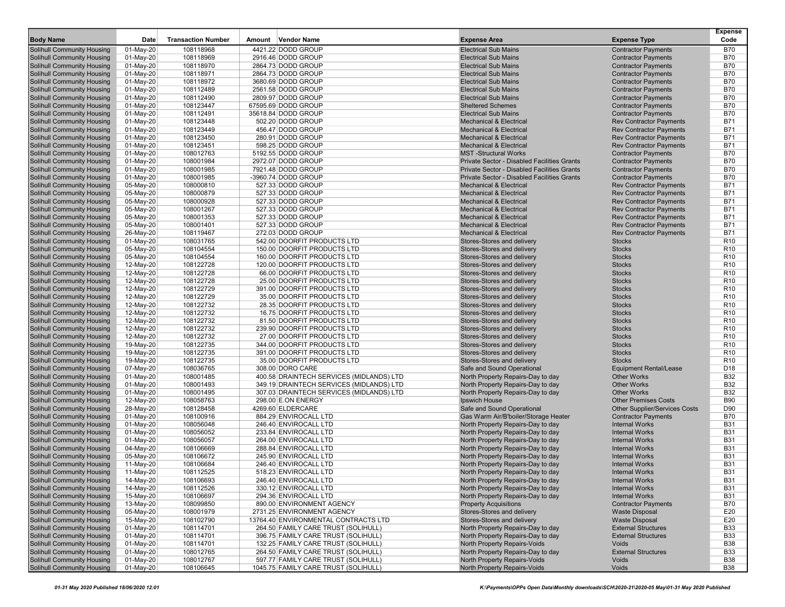| <b>Body Name</b>                                                       | Date                   | <b>Transaction Number</b> | Amount | <b>Vendor Name</b>                       | <b>Expense Area</b>                                                      | <b>Expense Type</b>                                                 | <b>Expense</b><br>Code   |
|------------------------------------------------------------------------|------------------------|---------------------------|--------|------------------------------------------|--------------------------------------------------------------------------|---------------------------------------------------------------------|--------------------------|
|                                                                        |                        |                           |        | 4421.22 DODD GROUP                       |                                                                          |                                                                     |                          |
| <b>Solihull Community Housing</b><br><b>Solihull Community Housing</b> | 01-May-20              | 108118968<br>108118969    |        | 2916.46 DODD GROUP                       | <b>Electrical Sub Mains</b><br><b>Electrical Sub Mains</b>               | <b>Contractor Payments</b><br><b>Contractor Payments</b>            | <b>B70</b><br><b>B70</b> |
| <b>Solihull Community Housing</b>                                      | 01-May-20<br>01-May-20 | 108118970                 |        | 2864.73 DODD GROUP                       | <b>Electrical Sub Mains</b>                                              | <b>Contractor Payments</b>                                          | <b>B70</b>               |
| <b>Solihull Community Housing</b>                                      | 01-May-20              | 108118971                 |        | 2864.73 DODD GROUP                       | <b>Electrical Sub Mains</b>                                              | <b>Contractor Payments</b>                                          | <b>B70</b>               |
| <b>Solihull Community Housing</b>                                      | 01-May-20              | 108118972                 |        | 3680.69 DODD GROUP                       | <b>Electrical Sub Mains</b>                                              | <b>Contractor Payments</b>                                          | <b>B70</b>               |
| <b>Solihull Community Housing</b>                                      | 01-May-20              | 108112489                 |        | 2561.58 DODD GROUP                       | <b>Electrical Sub Mains</b>                                              | <b>Contractor Payments</b>                                          | <b>B70</b>               |
| <b>Solihull Community Housing</b>                                      | 01-May-20              | 108112490                 |        | 2809.97 DODD GROUP                       | <b>Electrical Sub Mains</b>                                              | <b>Contractor Payments</b>                                          | <b>B70</b>               |
| <b>Solihull Community Housing</b>                                      | 01-May-20              | 108123447                 |        | 67595.69 DODD GROUP                      | <b>Sheltered Schemes</b>                                                 | <b>Contractor Payments</b>                                          | <b>B70</b>               |
| <b>Solihull Community Housing</b>                                      | 01-May-20              | 108112491                 |        | 35618.84 DODD GROUP                      | <b>Electrical Sub Mains</b>                                              | <b>Contractor Payments</b>                                          | <b>B70</b>               |
| <b>Solihull Community Housing</b>                                      | 01-May-20              | 108123448                 |        | 502.20 DODD GROUP                        | <b>Mechanical &amp; Electrical</b>                                       | <b>Rev Contractor Payments</b>                                      | <b>B71</b>               |
| <b>Solihull Community Housing</b>                                      | 01-May-20              | 108123449                 |        | 456.47 DODD GROUP                        | <b>Mechanical &amp; Electrical</b>                                       | <b>Rev Contractor Payments</b>                                      | <b>B71</b>               |
| <b>Solihull Community Housing</b>                                      | 01-May-20              | 108123450                 |        | 280.91 DODD GROUP                        | <b>Mechanical &amp; Electrical</b>                                       | <b>Rev Contractor Payments</b>                                      | <b>B71</b>               |
| <b>Solihull Community Housing</b>                                      | 01-May-20              | 108123451                 |        | 598.25 DODD GROUP                        | <b>Mechanical &amp; Electrical</b>                                       | <b>Rev Contractor Payments</b>                                      | <b>B71</b>               |
| <b>Solihull Community Housing</b>                                      | 01-May-20              | 108012763                 |        | 5192.55 DODD GROUP                       | <b>MST</b> -Structural Works                                             | <b>Contractor Payments</b>                                          | <b>B70</b>               |
| <b>Solihull Community Housing</b>                                      | 01-May-20              | 108001984                 |        | 2972.07 DODD GROUP                       | Private Sector - Disabled Facilities Grants                              | <b>Contractor Payments</b>                                          | <b>B70</b>               |
| <b>Solihull Community Housing</b>                                      | 01-May-20              | 108001985                 |        | 7921.48 DODD GROUP                       | <b>Private Sector - Disabled Facilities Grants</b>                       | <b>Contractor Payments</b>                                          | <b>B70</b>               |
| <b>Solihull Community Housing</b>                                      | 01-May-20              | 108001985                 |        | -3960.74 DODD GROUP                      | Private Sector - Disabled Facilities Grants                              | <b>Contractor Payments</b>                                          | <b>B70</b>               |
| <b>Solihull Community Housing</b>                                      | 05-May-20              | 108000810                 |        | 527.33 DODD GROUP                        | <b>Mechanical &amp; Electrical</b>                                       | <b>Rev Contractor Payments</b>                                      | <b>B71</b>               |
| <b>Solihull Community Housing</b>                                      | 05-May-20              | 108000879                 |        | 527.33 DODD GROUP                        | <b>Mechanical &amp; Electrical</b>                                       | <b>Rev Contractor Payments</b>                                      | <b>B71</b>               |
| <b>Solihull Community Housing</b>                                      | 05-May-20              | 108000928                 |        | 527.33 DODD GROUP                        | <b>Mechanical &amp; Electrical</b>                                       | <b>Rev Contractor Payments</b>                                      | <b>B71</b>               |
| <b>Solihull Community Housing</b>                                      | 05-May-20              | 108001267                 |        | 527.33 DODD GROUP                        | <b>Mechanical &amp; Electrical</b>                                       | <b>Rev Contractor Payments</b>                                      | <b>B71</b>               |
| <b>Solihull Community Housing</b>                                      | 05-May-20              | 108001353                 |        | 527.33 DODD GROUP                        | <b>Mechanical &amp; Electrical</b><br><b>Mechanical &amp; Electrical</b> | <b>Rev Contractor Payments</b>                                      | <b>B71</b><br><b>B71</b> |
| <b>Solihull Community Housing</b>                                      | 05-May-20              | 108001401                 |        | 527.33 DODD GROUP<br>272.03 DODD GROUP   | <b>Mechanical &amp; Electrical</b>                                       | <b>Rev Contractor Payments</b><br><b>Rev Contractor Payments</b>    | <b>B71</b>               |
| <b>Solihull Community Housing</b><br><b>Solihull Community Housing</b> | 26-May-20<br>01-May-20 | 108119467<br>108031765    |        | 542.00 DOORFIT PRODUCTS LTD              | Stores-Stores and delivery                                               | <b>Stocks</b>                                                       | R <sub>10</sub>          |
| <b>Solihull Community Housing</b>                                      | 05-May-20              | 108104554                 |        | 150.00 DOORFIT PRODUCTS LTD              | Stores-Stores and delivery                                               | <b>Stocks</b>                                                       | R <sub>10</sub>          |
| <b>Solihull Community Housing</b>                                      | 05-May-20              | 108104554                 |        | 160.00 DOORFIT PRODUCTS LTD              | Stores-Stores and delivery                                               | <b>Stocks</b>                                                       | R <sub>10</sub>          |
| <b>Solihull Community Housing</b>                                      | 12-May-20              | 108122728                 |        | 120.00 DOORFIT PRODUCTS LTD              | Stores-Stores and delivery                                               | <b>Stocks</b>                                                       | R <sub>10</sub>          |
| Solihull Community Housing                                             | 12-May-20              | 108122728                 |        | 66.00 DOORFIT PRODUCTS LTD               | Stores-Stores and delivery                                               | <b>Stocks</b>                                                       | R <sub>10</sub>          |
| <b>Solihull Community Housing</b>                                      | 12-May-20              | 108122728                 |        | 25.00 DOORFIT PRODUCTS LTD               | Stores-Stores and delivery                                               | <b>Stocks</b>                                                       | R <sub>10</sub>          |
| <b>Solihull Community Housing</b>                                      | 12-May-20              | 108122729                 |        | 391.00 DOORFIT PRODUCTS LTD              | Stores-Stores and delivery                                               | <b>Stocks</b>                                                       | R <sub>10</sub>          |
| Solihull Community Housing                                             | 12-May-20              | 108122729                 |        | 35.00 DOORFIT PRODUCTS LTD               | Stores-Stores and delivery                                               | <b>Stocks</b>                                                       | R <sub>10</sub>          |
| <b>Solihull Community Housing</b>                                      | 12-May-20              | 108122732                 |        | 28.35 DOORFIT PRODUCTS LTD               | Stores-Stores and delivery                                               | <b>Stocks</b>                                                       | R <sub>10</sub>          |
| <b>Solihull Community Housing</b>                                      | 12-May-20              | 108122732                 |        | 16.75 DOORFIT PRODUCTS LTD               | Stores-Stores and delivery                                               | <b>Stocks</b>                                                       | R <sub>10</sub>          |
| <b>Solihull Community Housing</b>                                      | 12-May-20              | 108122732                 |        | 81.50 DOORFIT PRODUCTS LTD               | Stores-Stores and delivery                                               | <b>Stocks</b>                                                       | R <sub>10</sub>          |
| <b>Solihull Community Housing</b>                                      | 12-May-20              | 108122732                 |        | 239.90 DOORFIT PRODUCTS LTD              | Stores-Stores and delivery                                               | <b>Stocks</b>                                                       | R <sub>10</sub>          |
| <b>Solihull Community Housing</b>                                      | 12-May-20              | 108122732                 |        | 27.00 DOORFIT PRODUCTS LTD               | Stores-Stores and delivery                                               | <b>Stocks</b>                                                       | R <sub>10</sub>          |
| <b>Solihull Community Housing</b>                                      | 19-May-20              | 108122735                 |        | 344.00 DOORFIT PRODUCTS LTD              | Stores-Stores and delivery                                               | <b>Stocks</b>                                                       | R <sub>10</sub>          |
| <b>Solihull Community Housing</b>                                      | 19-May-20              | 108122735                 |        | 391.00 DOORFIT PRODUCTS LTD              | Stores-Stores and delivery                                               | <b>Stocks</b>                                                       | R <sub>10</sub>          |
| <b>Solihull Community Housing</b>                                      | 19-May-20              | 108122735                 |        | 35.00 DOORFIT PRODUCTS LTD               | Stores-Stores and delivery                                               | <b>Stocks</b>                                                       | R <sub>10</sub>          |
| <b>Solihull Community Housing</b>                                      | 07-May-20              | 108036765                 |        | 308.00 DORO CARE                         | Safe and Sound Operational                                               | <b>Equipment Rental/Lease</b>                                       | D <sub>18</sub>          |
| <b>Solihull Community Housing</b>                                      | 01-May-20              | 108001485                 |        | 400.58 DRAINTECH SERVICES (MIDLANDS) LTD | North Property Repairs-Day to day                                        | <b>Other Works</b>                                                  | <b>B32</b>               |
| <b>Solihull Community Housing</b>                                      | 01-May-20              | 108001493                 |        | 349.19 DRAINTECH SERVICES (MIDLANDS) LTD | North Property Repairs-Day to day                                        | <b>Other Works</b>                                                  | <b>B32</b>               |
| <b>Solihull Community Housing</b>                                      | 01-May-20              | 108001495                 |        | 307.03 DRAINTECH SERVICES (MIDLANDS) LTD | North Property Repairs-Day to day                                        | <b>Other Works</b>                                                  | <b>B32</b><br><b>B90</b> |
| <b>Solihull Community Housing</b><br><b>Solihull Community Housing</b> | 12-May-20<br>28-May-20 | 108058763<br>108128458    |        | 298.00 E.ON ENERGY<br>4269.60 ELDERCARE  | Ipswich House<br>Safe and Sound Operational                              | <b>Other Premises Costs</b><br><b>Other Supplier/Services Costs</b> | D90                      |
| <b>Solihull Community Housing</b>                                      | 01-May-20              | 108100916                 |        | 884.29 ENVIROCALL LTD                    | Gas Warm Air/B'boiler/Storage Heater                                     | <b>Contractor Payments</b>                                          | <b>B70</b>               |
| <b>Solihull Community Housing</b>                                      | 01-May-20              | 108056048                 |        | 246.40 ENVIROCALL LTD                    | North Property Repairs-Day to day                                        | <b>Internal Works</b>                                               | <b>B31</b>               |
| <b>Solihull Community Housing</b>                                      | 01-May-20              | 108056052                 |        | 233.84 ENVIROCALL LTD                    | North Property Repairs-Day to day                                        | <b>Internal Works</b>                                               | <b>B31</b>               |
| <b>Solihull Community Housing</b>                                      | 01-May-20              | 108056057                 |        | 264.00 ENVIROCALL LTD                    | North Property Repairs-Day to day                                        | <b>Internal Works</b>                                               | <b>B31</b>               |
| <b>Solihull Community Housing</b>                                      | 04-May-20              | 108106669                 |        | 288.84 ENVIROCALL LTD                    | North Property Repairs-Day to day                                        | <b>Internal Works</b>                                               | <b>B31</b>               |
| <b>Solihull Community Housing</b>                                      | 05-May-20              | 108106672                 |        | 245.90 ENVIROCALL LTD                    | North Property Repairs-Day to day                                        | <b>Internal Works</b>                                               | <b>B31</b>               |
| <b>Solihull Community Housing</b>                                      | 11-May-20              | 108106684                 |        | 246.40 ENVIROCALL LTD                    | North Property Repairs-Day to day                                        | <b>Internal Works</b>                                               | <b>B31</b>               |
| <b>Solihull Community Housing</b>                                      | 11-May-20              | 108112525                 |        | 518.23 ENVIROCALL LTD                    | North Property Repairs-Day to day                                        | <b>Internal Works</b>                                               | <b>B31</b>               |
| <b>Solihull Community Housing</b>                                      | 14-May-20              | 108106693                 |        | 246.40 ENVIROCALL LTD                    | North Property Repairs-Day to day                                        | <b>Internal Works</b>                                               | <b>B31</b>               |
| <b>Solihull Community Housing</b>                                      | 14-May-20              | 108112526                 |        | 330.12 ENVIROCALL LTD                    | North Property Repairs-Day to day                                        | <b>Internal Works</b>                                               | <b>B31</b>               |
| <b>Solihull Community Housing</b>                                      | 15-May-20              | 108106697                 |        | 294.36 ENVIROCALL LTD                    | North Property Repairs-Day to day                                        | <b>Internal Works</b>                                               | <b>B31</b>               |
| <b>Solihull Community Housing</b>                                      | 13-May-20              | 108099850                 |        | 890.00 ENVIRONMENT AGENCY                | <b>Property Acquisitions</b>                                             | <b>Contractor Payments</b>                                          | <b>B70</b>               |
| <b>Solihull Community Housing</b>                                      | 05-May-20              | 108001979                 |        | 2731.25 ENVIRONMENT AGENCY               | Stores-Stores and delivery                                               | <b>Waste Disposal</b>                                               | E20                      |
| <b>Solihull Community Housing</b>                                      | 15-May-20              | 108102790                 |        | 13764.40 ENVIRONMENTAL CONTRACTS LTD     | Stores-Stores and delivery                                               | <b>Waste Disposal</b>                                               | E20                      |
| <b>Solihull Community Housing</b>                                      | 01-May-20              | 108114701                 |        | 264.50 FAMILY CARE TRUST (SOLIHULL)      | North Property Repairs-Day to day                                        | <b>External Structures</b>                                          | <b>B33</b>               |
| <b>Solihull Community Housing</b>                                      | 01-May-20              | 108114701                 |        | 396.75 FAMILY CARE TRUST (SOLIHULL)      | North Property Repairs-Day to day                                        | <b>External Structures</b>                                          | <b>B33</b>               |
| <b>Solihull Community Housing</b>                                      | 01-May-20              | 108114701                 |        | 132.25 FAMILY CARE TRUST (SOLIHULL)      | <b>North Property Repairs-Voids</b>                                      | Voids                                                               | <b>B38</b>               |
| <b>Solihull Community Housing</b>                                      | 01-May-20              | 108012765                 |        | 264.50 FAMILY CARE TRUST (SOLIHULL)      | North Property Repairs-Day to day                                        | <b>External Structures</b>                                          | <b>B33</b>               |
| <b>Solihull Community Housing</b>                                      | 01-May-20              | 108012767                 |        | 597.77 FAMILY CARE TRUST (SOLIHULL)      | North Property Repairs-Voids                                             | Voids                                                               | <b>B38</b>               |
| <b>Solihull Community Housing</b>                                      | 01-May-20              | 108106645                 |        | 1045.75 FAMILY CARE TRUST (SOLIHULL)     | North Property Repairs-Voids                                             | Voids                                                               | <b>B38</b>               |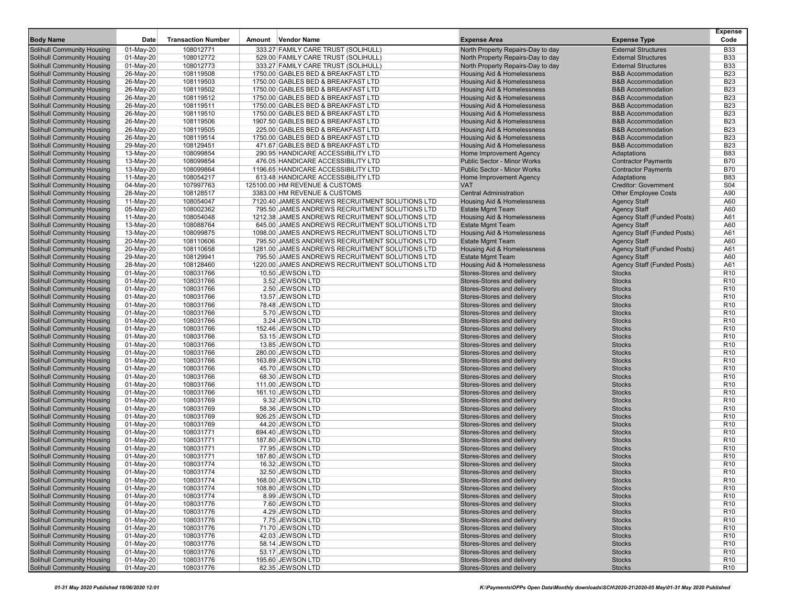| <b>Body Name</b>                                                       | Date                   | <b>Transaction Number</b> | Amount | Vendor Name                                     | <b>Expense Area</b>                                      | <b>Expense Type</b>                | <b>Expense</b><br>Code             |
|------------------------------------------------------------------------|------------------------|---------------------------|--------|-------------------------------------------------|----------------------------------------------------------|------------------------------------|------------------------------------|
| <b>Solihull Community Housing</b>                                      | 01-May-20              | 108012771                 |        | 333.27 FAMILY CARE TRUST (SOLIHULL)             | North Property Repairs-Day to day                        | <b>External Structures</b>         | <b>B33</b>                         |
| <b>Solihull Community Housing</b>                                      | 01-May-20              | 108012772                 |        | 529.00 FAMILY CARE TRUST (SOLIHULL)             | North Property Repairs-Day to day                        | <b>External Structures</b>         | <b>B33</b>                         |
| <b>Solihull Community Housing</b>                                      | 01-May-20              | 108012773                 |        | 333.27 FAMILY CARE TRUST (SOLIHULL)             | North Property Repairs-Day to day                        | <b>External Structures</b>         | <b>B33</b>                         |
| <b>Solihull Community Housing</b>                                      | 26-May-20              | 108119508                 |        | 1750.00 GABLES BED & BREAKFAST LTD              | Housing Aid & Homelessness                               | <b>B&amp;B Accommodation</b>       | <b>B23</b>                         |
| <b>Solihull Community Housing</b>                                      | 26-May-20              | 108119503                 |        | 1750.00 GABLES BED & BREAKFAST LTD              | Housing Aid & Homelessness                               | <b>B&amp;B Accommodation</b>       | <b>B23</b>                         |
| <b>Solihull Community Housing</b>                                      | 26-May-20              | 108119502                 |        | 1750.00 GABLES BED & BREAKFAST LTD              | Housing Aid & Homelessness                               | <b>B&amp;B Accommodation</b>       | <b>B23</b>                         |
| <b>Solihull Community Housing</b>                                      | 26-May-20              | 108119512                 |        | 1750.00 GABLES BED & BREAKFAST LTD              | Housing Aid & Homelessness                               | <b>B&amp;B Accommodation</b>       | <b>B23</b>                         |
| <b>Solihull Community Housing</b>                                      | 26-May-20              | 108119511                 |        | 1750.00 GABLES BED & BREAKFAST LTD              | Housing Aid & Homelessness                               | <b>B&amp;B Accommodation</b>       | <b>B23</b>                         |
| <b>Solihull Community Housing</b>                                      | 26-May-20              | 108119510                 |        | 1750.00 GABLES BED & BREAKFAST LTD              | <b>Housing Aid &amp; Homelessness</b>                    | <b>B&amp;B Accommodation</b>       | <b>B23</b>                         |
| <b>Solihull Community Housing</b>                                      | 26-May-20              | 108119506                 |        | 1907.50 GABLES BED & BREAKFAST LTD              | Housing Aid & Homelessness                               | <b>B&amp;B Accommodation</b>       | <b>B23</b>                         |
| <b>Solihull Community Housing</b>                                      | 26-May-20              | 108119505                 |        | 225.00 GABLES BED & BREAKFAST LTD               | Housing Aid & Homelessness                               | <b>B&amp;B Accommodation</b>       | <b>B23</b>                         |
| <b>Solihull Community Housing</b>                                      | 26-May-20              | 108119514                 |        | 1750.00 GABLES BED & BREAKFAST LTD              | Housing Aid & Homelessness                               | <b>B&amp;B Accommodation</b>       | <b>B23</b>                         |
| <b>Solihull Community Housing</b>                                      | 29-May-20              | 108129451                 |        | 471.67 GABLES BED & BREAKFAST LTD               | <b>Housing Aid &amp; Homelessness</b>                    | <b>B&amp;B Accommodation</b>       | <b>B23</b>                         |
| <b>Solihull Community Housing</b>                                      | 13-May-20              | 108099854                 |        | 290.95 HANDICARE ACCESSIBILITY LTD              | Home Improvement Agency                                  | Adaptations                        | <b>B83</b>                         |
| <b>Solihull Community Housing</b>                                      | 13-May-20              | 108099854                 |        | 476.05 HANDICARE ACCESSIBILITY LTD              | <b>Public Sector - Minor Works</b>                       | <b>Contractor Payments</b>         | <b>B70</b>                         |
| <b>Solihull Community Housing</b>                                      | 13-May-20              | 108099864                 |        | 1196.65 HANDICARE ACCESSIBILITY LTD             | Public Sector - Minor Works                              | <b>Contractor Payments</b>         | <b>B70</b>                         |
| <b>Solihull Community Housing</b>                                      | 11-May-20              | 108054217                 |        | 613.48 HANDICARE ACCESSIBILITY LTD              | Home Improvement Agency                                  | Adaptations                        | <b>B83</b>                         |
| <b>Solihull Community Housing</b>                                      | 04-May-20              | 107997763                 |        | 125100.00 HM REVENUE & CUSTOMS                  | <b>VAT</b>                                               | <b>Creditor: Government</b>        | S <sub>04</sub>                    |
| <b>Solihull Community Housing</b>                                      | 28-May-20              | 108128517                 |        | 3383.00 HM REVENUE & CUSTOMS                    | <b>Central Administration</b>                            | <b>Other Employee Costs</b>        | A90                                |
| <b>Solihull Community Housing</b>                                      | 11-May-20              | 108054047                 |        | 7120.40 JAMES ANDREWS RECRUITMENT SOLUTIONS LTD | Housing Aid & Homelessness                               | <b>Agency Staff</b>                | A60                                |
| <b>Solihull Community Housing</b>                                      | 05-May-20              | 108002362                 |        | 795.50 JAMES ANDREWS RECRUITMENT SOLUTIONS LTD  | <b>Estate Mgmt Team</b>                                  | <b>Agency Staff</b>                | A60                                |
| <b>Solihull Community Housing</b>                                      | 11-May-20              | 108054048                 |        | 1212.38 JAMES ANDREWS RECRUITMENT SOLUTIONS LTD | Housing Aid & Homelessness                               | Agency Staff (Funded Posts)        | A61                                |
| <b>Solihull Community Housing</b>                                      | 13-May-20              | 108088764                 |        | 645.00 JAMES ANDREWS RECRUITMENT SOLUTIONS LTD  | <b>Estate Mgmt Team</b>                                  | <b>Agency Staff</b>                | A60                                |
| <b>Solihull Community Housing</b>                                      | 13-May-20              | 108099875                 |        | 1098.00 JAMES ANDREWS RECRUITMENT SOLUTIONS LTD | Housing Aid & Homelessness                               | Agency Staff (Funded Posts)        | A61                                |
| <b>Solihull Community Housing</b>                                      | 20-May-20              | 108110606                 |        | 795.50 JAMES ANDREWS RECRUITMENT SOLUTIONS LTD  | <b>Estate Mgmt Team</b>                                  | <b>Agency Staff</b>                | A60                                |
| <b>Solihull Community Housing</b>                                      | 20-May-20              | 108110658                 |        | 1281.00 JAMES ANDREWS RECRUITMENT SOLUTIONS LTD | Housing Aid & Homelessness                               | Agency Staff (Funded Posts)        | A61                                |
| <b>Solihull Community Housing</b>                                      | 29-May-20              | 108129941                 |        | 795.50 JAMES ANDREWS RECRUITMENT SOLUTIONS LTD  | <b>Estate Mgmt Team</b>                                  | <b>Agency Staff</b>                | A60                                |
| <b>Solihull Community Housing</b>                                      | 28-May-20              | 108128460                 |        | 1220.00 JAMES ANDREWS RECRUITMENT SOLUTIONS LTD | Housing Aid & Homelessness                               | <b>Agency Staff (Funded Posts)</b> | A61                                |
| <b>Solihull Community Housing</b>                                      | 01-May-20              | 108031766                 |        | 10.50 JEWSON LTD                                | Stores-Stores and delivery                               | <b>Stocks</b>                      | R <sub>10</sub>                    |
| <b>Solihull Community Housing</b>                                      | 01-May-20              | 108031766                 |        | 3.52 JEWSON LTD                                 | Stores-Stores and delivery                               | <b>Stocks</b>                      | R <sub>10</sub>                    |
| <b>Solihull Community Housing</b>                                      | 01-May-20              | 108031766                 |        | 2.50 JEWSON LTD                                 | Stores-Stores and delivery                               | <b>Stocks</b>                      | R <sub>10</sub>                    |
| <b>Solihull Community Housing</b><br><b>Solihull Community Housing</b> | 01-May-20              | 108031766<br>108031766    |        | 13.57 JEWSON LTD                                | Stores-Stores and delivery                               | <b>Stocks</b><br><b>Stocks</b>     | R <sub>10</sub><br>R <sub>10</sub> |
| <b>Solihull Community Housing</b>                                      | 01-May-20<br>01-May-20 | 108031766                 |        | 78.48 JEWSON LTD<br>5.70 JEWSON LTD             | Stores-Stores and delivery<br>Stores-Stores and delivery | <b>Stocks</b>                      | R <sub>10</sub>                    |
| <b>Solihull Community Housing</b>                                      | 01-May-20              | 108031766                 |        | 3.24 JEWSON LTD                                 | Stores-Stores and delivery                               | <b>Stocks</b>                      | R <sub>10</sub>                    |
| <b>Solihull Community Housing</b>                                      | 01-May-20              | 108031766                 |        | 152.46 JEWSON LTD                               | Stores-Stores and delivery                               | <b>Stocks</b>                      | R <sub>10</sub>                    |
| <b>Solihull Community Housing</b>                                      | 01-May-20              | 108031766                 |        | 53.15 JEWSON LTD                                | Stores-Stores and delivery                               | <b>Stocks</b>                      | R <sub>10</sub>                    |
| <b>Solihull Community Housing</b>                                      | 01-May-20              | 108031766                 |        | 13.85 JEWSON LTD                                | Stores-Stores and delivery                               | <b>Stocks</b>                      | R <sub>10</sub>                    |
| <b>Solihull Community Housing</b>                                      | 01-May-20              | 108031766                 |        | 280.00 JEWSON LTD                               | Stores-Stores and delivery                               | <b>Stocks</b>                      | R <sub>10</sub>                    |
| <b>Solihull Community Housing</b>                                      | 01-May-20              | 108031766                 |        | 163.89 JEWSON LTD                               | Stores-Stores and delivery                               | <b>Stocks</b>                      | R <sub>10</sub>                    |
| <b>Solihull Community Housing</b>                                      | 01-May-20              | 108031766                 |        | 45.70 JEWSON LTD                                | Stores-Stores and delivery                               | <b>Stocks</b>                      | R <sub>10</sub>                    |
| <b>Solihull Community Housing</b>                                      | 01-May-20              | 108031766                 |        | 68.30 JEWSON LTD                                | Stores-Stores and delivery                               | <b>Stocks</b>                      | R <sub>10</sub>                    |
| <b>Solihull Community Housing</b>                                      | 01-May-20              | 108031766                 |        | 111.00 JEWSON LTD                               | Stores-Stores and delivery                               | <b>Stocks</b>                      | R <sub>10</sub>                    |
| <b>Solihull Community Housing</b>                                      | 01-May-20              | 108031766                 |        | 161.10 JEWSON LTD                               | Stores-Stores and delivery                               | <b>Stocks</b>                      | R <sub>10</sub>                    |
| <b>Solihull Community Housing</b>                                      | 01-May-20              | 108031769                 |        | 9.32 JEWSON LTD                                 | Stores-Stores and delivery                               | <b>Stocks</b>                      | R <sub>10</sub>                    |
| <b>Solihull Community Housing</b>                                      | 01-May-20              | 108031769                 |        | 58.36 JEWSON LTD                                | Stores-Stores and delivery                               | <b>Stocks</b>                      | R <sub>10</sub>                    |
| <b>Solihull Community Housing</b>                                      | 01-May-20              | 108031769                 |        | 926.25 JEWSON LTD                               | Stores-Stores and delivery                               | <b>Stocks</b>                      | R <sub>10</sub>                    |
| <b>Solihull Community Housing</b>                                      | 01-May-20              | 108031769                 |        | 44.20 JEWSON LTD                                | Stores-Stores and delivery                               | <b>Stocks</b>                      | R <sub>10</sub>                    |
| <b>Solihull Community Housing</b>                                      | 01-May-20              | 108031771                 |        | 694.40 JEWSON LTD                               | Stores-Stores and delivery                               | <b>Stocks</b>                      | R <sub>10</sub>                    |
| <b>Solihull Community Housing</b>                                      | 01-May-20              | 108031771                 |        | 187.80 JEWSON LTD                               | Stores-Stores and delivery                               | <b>Stocks</b>                      | R <sub>10</sub>                    |
| <b>Solihull Community Housing</b>                                      | 01-May-20              | 108031771                 |        | 77.95 JEWSON LTD                                | Stores-Stores and delivery                               | <b>Stocks</b>                      | R <sub>10</sub>                    |
| <b>Solihull Community Housing</b>                                      | 01-May-20              | 108031771                 |        | 187.80 JEWSON LTD                               | Stores-Stores and delivery                               | <b>Stocks</b>                      | R <sub>10</sub>                    |
| <b>Solihull Community Housing</b>                                      | 01-May-20              | 108031774                 |        | 16.32 JEWSON LTD                                | Stores-Stores and delivery                               | <b>Stocks</b>                      | R <sub>10</sub>                    |
| Solihull Community Housing                                             | 01-May-20              | 108031774                 |        | 32.50 JEWSON LTD                                | Stores-Stores and delivery                               | <b>Stocks</b>                      | R <sub>10</sub>                    |
| <b>Solihull Community Housing</b>                                      | 01-May-20              | 108031774                 |        | 168.00 JEWSON LTD                               | Stores-Stores and delivery                               | <b>Stocks</b>                      | R <sub>10</sub>                    |
| <b>Solihull Community Housing</b>                                      | 01-May-20              | 108031774                 |        | 108.80 JEWSON LTD                               | Stores-Stores and delivery                               | <b>Stocks</b>                      | R <sub>10</sub>                    |
| <b>Solihull Community Housing</b>                                      | 01-May-20              | 108031774                 |        | 8.99 JEWSON LTD                                 | Stores-Stores and delivery                               | <b>Stocks</b>                      | R <sub>10</sub>                    |
| <b>Solihull Community Housing</b>                                      | 01-May-20              | 108031776                 |        | 7.60 JEWSON LTD                                 | Stores-Stores and delivery                               | <b>Stocks</b>                      | R <sub>10</sub>                    |
| <b>Solihull Community Housing</b>                                      | 01-May-20              | 108031776<br>108031776    |        | 4.29 JEWSON LTD                                 | Stores-Stores and delivery                               | <b>Stocks</b>                      | R <sub>10</sub>                    |
| <b>Solihull Community Housing</b><br><b>Solihull Community Housing</b> | 01-May-20              |                           |        | 7.75 JEWSON LTD<br>71.70 JEWSON LTD             | Stores-Stores and delivery                               | <b>Stocks</b>                      | R <sub>10</sub>                    |
| <b>Solihull Community Housing</b>                                      | 01-May-20<br>01-May-20 | 108031776<br>108031776    |        | 42.03 JEWSON LTD                                | Stores-Stores and delivery<br>Stores-Stores and delivery | <b>Stocks</b><br><b>Stocks</b>     | R <sub>10</sub><br>R <sub>10</sub> |
| <b>Solihull Community Housing</b>                                      | 01-May-20              | 108031776                 |        | 58.14 JEWSON LTD                                | Stores-Stores and delivery                               | <b>Stocks</b>                      | R <sub>10</sub>                    |
| <b>Solihull Community Housing</b>                                      | 01-May-20              | 108031776                 |        | 53.17 JEWSON LTD                                | Stores-Stores and delivery                               | <b>Stocks</b>                      | R <sub>10</sub>                    |
| <b>Solihull Community Housing</b>                                      | 01-May-20              | 108031776                 |        | 195.60 JEWSON LTD                               | Stores-Stores and delivery                               | <b>Stocks</b>                      | R <sub>10</sub>                    |
| <b>Solihull Community Housing</b>                                      | 01-May-20              | 108031776                 |        | 82.35 JEWSON LTD                                | Stores-Stores and delivery                               | <b>Stocks</b>                      | R <sub>10</sub>                    |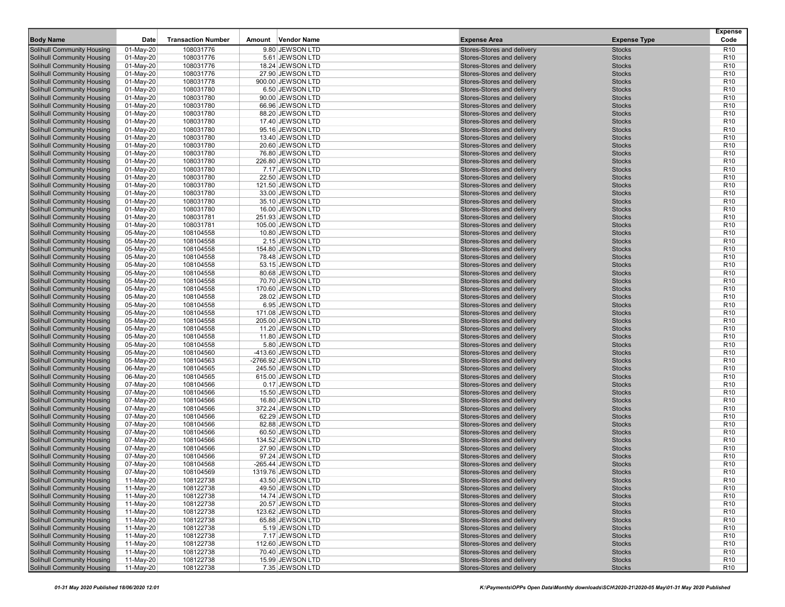| <b>Body Name</b>                                                       | Date                   | <b>Transaction Number</b> | Amount | Vendor Name                           | <b>Expense Area</b>                                      | <b>Expense Type</b>            | <b>Expense</b><br>Code             |
|------------------------------------------------------------------------|------------------------|---------------------------|--------|---------------------------------------|----------------------------------------------------------|--------------------------------|------------------------------------|
| <b>Solihull Community Housing</b>                                      | 01-May-20              | 108031776                 |        | 9.80 JEWSON LTD                       | Stores-Stores and delivery                               | <b>Stocks</b>                  | R <sub>10</sub>                    |
| <b>Solihull Community Housing</b>                                      | 01-May-20              | 108031776                 |        | 5.61 JEWSON LTD                       | Stores-Stores and delivery                               | <b>Stocks</b>                  | R <sub>10</sub>                    |
| <b>Solihull Community Housing</b>                                      | 01-May-20              | 108031776                 |        | 18.24 JEWSON LTD                      | Stores-Stores and delivery                               | <b>Stocks</b>                  | R <sub>10</sub>                    |
| <b>Solihull Community Housing</b>                                      | 01-May-20              | 108031776                 |        | 27.90 JEWSON LTD                      | Stores-Stores and delivery                               | <b>Stocks</b>                  | R <sub>10</sub>                    |
| <b>Solihull Community Housing</b>                                      | 01-May-20              | 108031778                 |        | 900.00 JEWSON LTD                     | Stores-Stores and delivery                               | <b>Stocks</b>                  | R <sub>10</sub>                    |
| <b>Solihull Community Housing</b>                                      | 01-May-20              | 108031780                 |        | 6.50 JEWSON LTD                       | Stores-Stores and delivery                               | <b>Stocks</b>                  | R <sub>10</sub>                    |
| <b>Solihull Community Housing</b>                                      | 01-May-20              | 108031780                 |        | 90.00 JEWSON LTD                      | Stores-Stores and delivery                               | <b>Stocks</b>                  | R <sub>10</sub>                    |
| <b>Solihull Community Housing</b>                                      | 01-May-20              | 108031780                 |        | 66.96 JEWSON LTD                      | Stores-Stores and delivery                               | <b>Stocks</b>                  | R <sub>10</sub>                    |
| <b>Solihull Community Housing</b>                                      | 01-May-20              | 108031780                 |        | 88.20 JEWSON LTD                      | Stores-Stores and delivery                               | <b>Stocks</b>                  | R <sub>10</sub>                    |
| <b>Solihull Community Housing</b>                                      | 01-May-20              | 108031780                 |        | 17.40 JEWSON LTD                      | Stores-Stores and delivery                               | <b>Stocks</b>                  | R <sub>10</sub>                    |
| <b>Solihull Community Housing</b>                                      | 01-May-20              | 108031780                 |        | 95.16 JEWSON LTD                      | Stores-Stores and delivery                               | <b>Stocks</b>                  | R <sub>10</sub>                    |
| <b>Solihull Community Housing</b>                                      | 01-May-20              | 108031780                 |        | 13.40 JEWSON LTD                      | Stores-Stores and delivery                               | <b>Stocks</b>                  | R <sub>10</sub>                    |
| <b>Solihull Community Housing</b>                                      | 01-May-20              | 108031780                 |        | 20.60 JEWSON LTD                      | Stores-Stores and delivery                               | <b>Stocks</b>                  | R <sub>10</sub>                    |
| <b>Solihull Community Housing</b>                                      | 01-May-20              | 108031780                 |        | 76.80 JEWSON LTD                      | Stores-Stores and delivery                               | <b>Stocks</b>                  | R <sub>10</sub>                    |
| <b>Solihull Community Housing</b>                                      | 01-May-20              | 108031780                 |        | 226.80 JEWSON LTD                     | Stores-Stores and delivery                               | <b>Stocks</b>                  | R <sub>10</sub>                    |
| <b>Solihull Community Housing</b>                                      | 01-May-20              | 108031780                 |        | 7.17 JEWSON LTD                       | Stores-Stores and delivery                               | <b>Stocks</b>                  | R <sub>10</sub>                    |
| <b>Solihull Community Housing</b>                                      | 01-May-20              | 108031780                 |        | 22.50 JEWSON LTD                      | Stores-Stores and delivery                               | <b>Stocks</b>                  | R <sub>10</sub>                    |
| <b>Solihull Community Housing</b>                                      | 01-May-20              | 108031780                 |        | 121.50 JEWSON LTD                     | Stores-Stores and delivery                               | <b>Stocks</b>                  | R <sub>10</sub>                    |
| <b>Solihull Community Housing</b>                                      | 01-May-20              | 108031780                 |        | 33.00 JEWSON LTD                      | Stores-Stores and delivery                               | <b>Stocks</b>                  | R <sub>10</sub>                    |
| <b>Solihull Community Housing</b>                                      | 01-May-20              | 108031780                 |        | 35.10 JEWSON LTD                      | Stores-Stores and delivery                               | <b>Stocks</b>                  | R <sub>10</sub>                    |
| <b>Solihull Community Housing</b>                                      | 01-May-20              | 108031780                 |        | 16.00 JEWSON LTD                      | Stores-Stores and delivery                               | <b>Stocks</b>                  | R <sub>10</sub>                    |
| <b>Solihull Community Housing</b>                                      | 01-May-20              | 108031781                 |        | 251.93 JEWSON LTD                     | Stores-Stores and delivery                               | <b>Stocks</b>                  | R <sub>10</sub>                    |
| <b>Solihull Community Housing</b>                                      | 01-May-20              | 108031781                 |        | 105.00 JEWSON LTD                     | Stores-Stores and delivery                               | <b>Stocks</b>                  | R <sub>10</sub>                    |
| <b>Solihull Community Housing</b>                                      | 05-May-20              | 108104558                 |        | 10.80 JEWSON LTD                      | Stores-Stores and delivery                               | <b>Stocks</b>                  | R <sub>10</sub>                    |
| <b>Solihull Community Housing</b>                                      | 05-May-20              | 108104558                 |        | 2.15 JEWSON LTD                       | Stores-Stores and delivery                               | <b>Stocks</b>                  | R <sub>10</sub>                    |
| <b>Solihull Community Housing</b>                                      | 05-May-20              | 108104558                 |        | 154.80 JEWSON LTD                     | Stores-Stores and delivery                               | <b>Stocks</b>                  | R <sub>10</sub>                    |
| <b>Solihull Community Housing</b>                                      | 05-May-20              | 108104558                 |        | 78.48 JEWSON LTD                      | Stores-Stores and delivery                               | <b>Stocks</b>                  | R <sub>10</sub>                    |
| <b>Solihull Community Housing</b>                                      | 05-May-20              | 108104558                 |        | 53.15 JEWSON LTD                      | Stores-Stores and delivery                               | <b>Stocks</b>                  | R <sub>10</sub>                    |
| <b>Solihull Community Housing</b>                                      | 05-May-20              | 108104558                 |        | 80.68 JEWSON LTD                      | Stores-Stores and delivery                               | <b>Stocks</b>                  | R <sub>10</sub>                    |
| <b>Solihull Community Housing</b>                                      | 05-May-20              | 108104558                 |        | 70.70 JEWSON LTD                      | Stores-Stores and delivery                               | <b>Stocks</b>                  | R <sub>10</sub>                    |
| <b>Solihull Community Housing</b>                                      | 05-May-20              | 108104558                 |        | 170.60 JEWSON LTD                     | Stores-Stores and delivery                               | <b>Stocks</b>                  | R <sub>10</sub>                    |
| <b>Solihull Community Housing</b>                                      | 05-May-20              | 108104558                 |        | 28.02 JEWSON LTD                      | Stores-Stores and delivery                               | <b>Stocks</b>                  | R <sub>10</sub>                    |
| <b>Solihull Community Housing</b>                                      | 05-May-20              | 108104558                 |        | 6.95 JEWSON LTD                       | Stores-Stores and delivery                               | <b>Stocks</b>                  | R <sub>10</sub>                    |
| <b>Solihull Community Housing</b>                                      | 05-May-20              | 108104558                 |        | 171.08 JEWSON LTD                     | Stores-Stores and delivery                               | <b>Stocks</b>                  | R <sub>10</sub>                    |
| <b>Solihull Community Housing</b>                                      | 05-May-20              | 108104558                 |        | 205.00 JEWSON LTD                     | Stores-Stores and delivery                               | <b>Stocks</b>                  | R <sub>10</sub>                    |
| <b>Solihull Community Housing</b>                                      | 05-May-20              | 108104558                 |        | 11.20 JEWSON LTD                      | Stores-Stores and delivery                               | <b>Stocks</b>                  | R <sub>10</sub>                    |
| <b>Solihull Community Housing</b>                                      | 05-May-20              | 108104558                 |        | 11.80 JEWSON LTD                      | Stores-Stores and delivery                               | <b>Stocks</b>                  | R <sub>10</sub>                    |
| <b>Solihull Community Housing</b>                                      | 05-May-20              | 108104558                 |        | 5.80 JEWSON LTD                       | Stores-Stores and delivery                               | <b>Stocks</b>                  | R <sub>10</sub>                    |
| <b>Solihull Community Housing</b>                                      | 05-May-20              | 108104560                 |        | -413.60 JEWSON LTD                    | Stores-Stores and delivery                               | <b>Stocks</b>                  | R <sub>10</sub>                    |
| <b>Solihull Community Housing</b>                                      | 05-May-20              | 108104563                 |        | -2766.92 JEWSON LTD                   | Stores-Stores and delivery                               | <b>Stocks</b>                  | R <sub>10</sub>                    |
| <b>Solihull Community Housing</b>                                      | 06-May-20              | 108104565                 |        | 245.50 JEWSON LTD                     | Stores-Stores and delivery                               | <b>Stocks</b>                  | R <sub>10</sub>                    |
| <b>Solihull Community Housing</b>                                      | 06-May-20              | 108104565                 |        | 615.00 JEWSON LTD                     | Stores-Stores and delivery                               | <b>Stocks</b>                  | R <sub>10</sub>                    |
| <b>Solihull Community Housing</b>                                      | 07-May-20              | 108104566                 |        | 0.17 JEWSON LTD                       | Stores-Stores and delivery                               | <b>Stocks</b>                  | R <sub>10</sub>                    |
| <b>Solihull Community Housing</b>                                      | 07-May-20              | 108104566                 |        | 15.50 JEWSON LTD                      | Stores-Stores and delivery                               | <b>Stocks</b>                  | R <sub>10</sub>                    |
| <b>Solihull Community Housing</b>                                      | 07-May-20              | 108104566                 |        | 16.80 JEWSON LTD                      | Stores-Stores and delivery                               | <b>Stocks</b>                  | R <sub>10</sub>                    |
| <b>Solihull Community Housing</b>                                      | 07-May-20              | 108104566                 |        | 372.24 JEWSON LTD                     | Stores-Stores and delivery                               | <b>Stocks</b>                  | R <sub>10</sub>                    |
| <b>Solihull Community Housing</b>                                      | 07-May-20              | 108104566                 |        | 62.29 JEWSON LTD                      | Stores-Stores and delivery                               | <b>Stocks</b>                  | R <sub>10</sub>                    |
| <b>Solihull Community Housing</b><br><b>Solihull Community Housing</b> | 07-May-20              | 108104566                 |        | 82.88 JEWSON LTD                      | Stores-Stores and delivery                               | <b>Stocks</b>                  | R <sub>10</sub>                    |
|                                                                        | 07-May-20              | 108104566                 |        | 60.50 JEWSON LTD                      | Stores-Stores and delivery                               | <b>Stocks</b>                  | R <sub>10</sub><br>R <sub>10</sub> |
| <b>Solihull Community Housing</b><br><b>Solihull Community Housing</b> | 07-May-20<br>07-May-20 | 108104566<br>108104566    |        | 134.52 JEWSON LTD<br>27.90 JEWSON LTD | Stores-Stores and delivery<br>Stores-Stores and delivery | <b>Stocks</b><br><b>Stocks</b> | R <sub>10</sub>                    |
| <b>Solihull Community Housing</b>                                      | 07-May-20              | 108104566                 |        | 97.24 JEWSON LTD                      | Stores-Stores and delivery                               | <b>Stocks</b>                  | R <sub>10</sub>                    |
| Solihull Community Housing                                             | 07-May-20              | 108104568                 |        | -265.44 JEWSON LTD                    | Stores-Stores and delivery                               | <b>Stocks</b>                  | R <sub>10</sub>                    |
| Solihull Community Housing                                             | 07-May-20              | 108104569                 |        | 1319.76 JEWSON LTD                    | Stores-Stores and delivery                               | <b>Stocks</b>                  | R <sub>10</sub>                    |
| <b>Solihull Community Housing</b>                                      | 11-May-20              | 108122738                 |        | 43.50 JEWSON LTD                      | Stores-Stores and delivery                               | <b>Stocks</b>                  | R <sub>10</sub>                    |
| <b>Solihull Community Housing</b>                                      | 11-May-20              | 108122738                 |        | 49.50 JEWSON LTD                      | Stores-Stores and delivery                               | <b>Stocks</b>                  | R <sub>10</sub>                    |
| <b>Solihull Community Housing</b>                                      | 11-May-20              | 108122738                 |        | 14.74 JEWSON LTD                      | Stores-Stores and delivery                               | <b>Stocks</b>                  | R <sub>10</sub>                    |
| <b>Solihull Community Housing</b>                                      | 11-May-20              | 108122738                 |        | 20.57 JEWSON LTD                      | Stores-Stores and delivery                               | <b>Stocks</b>                  | R <sub>10</sub>                    |
| <b>Solihull Community Housing</b>                                      | 11-May-20              | 108122738                 |        | 123.62 JEWSON LTD                     | Stores-Stores and delivery                               | <b>Stocks</b>                  | R <sub>10</sub>                    |
| Solihull Community Housing                                             | 11-May-20              | 108122738                 |        | 65.88 JEWSON LTD                      | Stores-Stores and delivery                               | <b>Stocks</b>                  | R <sub>10</sub>                    |
| <b>Solihull Community Housing</b>                                      | 11-May-20              | 108122738                 |        | 5.19 JEWSON LTD                       | Stores-Stores and delivery                               | <b>Stocks</b>                  | R <sub>10</sub>                    |
| <b>Solihull Community Housing</b>                                      | 11-May-20              | 108122738                 |        | 7.17 JEWSON LTD                       | Stores-Stores and delivery                               | <b>Stocks</b>                  | R <sub>10</sub>                    |
| <b>Solihull Community Housing</b>                                      | 11-May-20              | 108122738                 |        | 112.60 JEWSON LTD                     | Stores-Stores and delivery                               | <b>Stocks</b>                  | R <sub>10</sub>                    |
| <b>Solihull Community Housing</b>                                      | 11-May-20              | 108122738                 |        | 70.40 JEWSON LTD                      | Stores-Stores and delivery                               | <b>Stocks</b>                  | R <sub>10</sub>                    |
| <b>Solihull Community Housing</b>                                      | 11-May-20              | 108122738                 |        | 15.99 JEWSON LTD                      | Stores-Stores and delivery                               | <b>Stocks</b>                  | R <sub>10</sub>                    |
| <b>Solihull Community Housing</b>                                      | 11-May-20              | 108122738                 |        | 7.35 JEWSON LTD                       | Stores-Stores and delivery                               | <b>Stocks</b>                  | R <sub>10</sub>                    |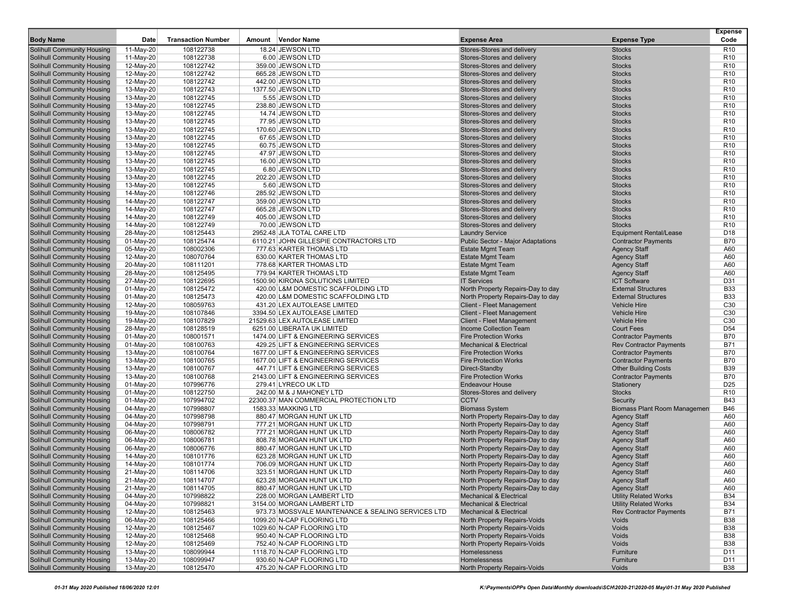|                                                                        |                        |                           |        |                                                                           |                                                          |                                                           | <b>Expense</b><br>Code             |
|------------------------------------------------------------------------|------------------------|---------------------------|--------|---------------------------------------------------------------------------|----------------------------------------------------------|-----------------------------------------------------------|------------------------------------|
| <b>Body Name</b>                                                       | Date                   | <b>Transaction Number</b> | Amount | <b>Vendor Name</b>                                                        | <b>Expense Area</b>                                      | <b>Expense Type</b>                                       |                                    |
| <b>Solihull Community Housing</b>                                      | 11-May-20              | 108122738                 |        | 18.24 JEWSON LTD                                                          | Stores-Stores and delivery                               | <b>Stocks</b>                                             | R <sub>10</sub>                    |
| <b>Solihull Community Housing</b>                                      | 11-May-20              | 108122738                 |        | 6.00 JEWSON LTD                                                           | Stores-Stores and delivery                               | <b>Stocks</b>                                             | R <sub>10</sub><br>R <sub>10</sub> |
| <b>Solihull Community Housing</b>                                      | 12-May-20              | 108122742<br>108122742    |        | 359.00 JEWSON LTD<br>665.28 JEWSON LTD                                    | Stores-Stores and delivery                               | <b>Stocks</b><br><b>Stocks</b>                            | R <sub>10</sub>                    |
| <b>Solihull Community Housing</b><br><b>Solihull Community Housing</b> | 12-May-20<br>12-May-20 | 108122742                 |        | 442.00 JEWSON LTD                                                         | Stores-Stores and delivery<br>Stores-Stores and delivery | <b>Stocks</b>                                             | R <sub>10</sub>                    |
| <b>Solihull Community Housing</b>                                      | 13-May-20              | 108122743                 |        | 1377.50 JEWSON LTD                                                        | Stores-Stores and delivery                               | <b>Stocks</b>                                             | R <sub>10</sub>                    |
| <b>Solihull Community Housing</b>                                      | 13-May-20              | 108122745                 |        | 5.55 JEWSON LTD                                                           | Stores-Stores and delivery                               | <b>Stocks</b>                                             | R <sub>10</sub>                    |
| <b>Solihull Community Housing</b>                                      | 13-May-20              | 108122745                 |        | 238.80 JEWSON LTD                                                         | Stores-Stores and delivery                               | <b>Stocks</b>                                             | R <sub>10</sub>                    |
| <b>Solihull Community Housing</b>                                      | 13-May-20              | 108122745                 |        | 14.74 JEWSON LTD                                                          | Stores-Stores and delivery                               | <b>Stocks</b>                                             | R <sub>10</sub>                    |
| <b>Solihull Community Housing</b>                                      | 13-May-20              | 108122745                 |        | 77.95 JEWSON LTD                                                          | Stores-Stores and delivery                               | <b>Stocks</b>                                             | R <sub>10</sub>                    |
| <b>Solihull Community Housing</b>                                      | 13-May-20              | 108122745                 |        | 170.60 JEWSON LTD                                                         | Stores-Stores and delivery                               | <b>Stocks</b>                                             | R <sub>10</sub>                    |
| <b>Solihull Community Housing</b>                                      | 13-May-20              | 108122745                 |        | 67.65 JEWSON LTD                                                          | Stores-Stores and delivery                               | <b>Stocks</b>                                             | R <sub>10</sub>                    |
| <b>Solihull Community Housing</b>                                      | 13-May-20              | 108122745                 |        | 60.75 JEWSON LTD                                                          | Stores-Stores and delivery                               | <b>Stocks</b>                                             | R <sub>10</sub>                    |
| <b>Solihull Community Housing</b>                                      | 13-May-20              | 108122745                 |        | 47.97 JEWSON LTD                                                          | Stores-Stores and delivery                               | <b>Stocks</b>                                             | R <sub>10</sub>                    |
| <b>Solihull Community Housing</b>                                      | 13-May-20              | 108122745                 |        | 16.00 JEWSON LTD                                                          | Stores-Stores and delivery                               | <b>Stocks</b>                                             | R <sub>10</sub>                    |
| <b>Solihull Community Housing</b>                                      | 13-May-20              | 108122745                 |        | 6.80 JEWSON LTD                                                           | Stores-Stores and delivery                               | <b>Stocks</b>                                             | R <sub>10</sub>                    |
| <b>Solihull Community Housing</b>                                      | 13-May-20              | 108122745                 |        | 202.20 JEWSON LTD                                                         | Stores-Stores and delivery                               | <b>Stocks</b>                                             | R <sub>10</sub>                    |
| <b>Solihull Community Housing</b>                                      | 13-May-20              | 108122745                 |        | 5.60 JEWSON LTD                                                           | Stores-Stores and delivery                               | <b>Stocks</b>                                             | R <sub>10</sub>                    |
| <b>Solihull Community Housing</b>                                      | 14-May-20              | 108122746                 |        | 285.92 JEWSON LTD                                                         | Stores-Stores and delivery                               | <b>Stocks</b>                                             | R <sub>10</sub>                    |
| <b>Solihull Community Housing</b>                                      | 14-May-20              | 108122747                 |        | 359.00 JEWSON LTD                                                         | Stores-Stores and delivery                               | <b>Stocks</b>                                             | R <sub>10</sub>                    |
| <b>Solihull Community Housing</b>                                      | 14-May-20              | 108122747                 |        | 665.28 JEWSON LTD                                                         | Stores-Stores and delivery                               | <b>Stocks</b>                                             | R <sub>10</sub>                    |
| <b>Solihull Community Housing</b>                                      | 14-May-20              | 108122749                 |        | 405.00 JEWSON LTD                                                         | Stores-Stores and delivery                               | <b>Stocks</b>                                             | R <sub>10</sub>                    |
| <b>Solihull Community Housing</b>                                      | 14-May-20              | 108122749                 |        | 70.00 JEWSON LTD                                                          | Stores-Stores and delivery                               | <b>Stocks</b>                                             | R <sub>10</sub>                    |
| <b>Solihull Community Housing</b>                                      | 28-May-20              | 108125443                 |        | 2952.48 JLA TOTAL CARE LTD                                                | <b>Laundry Service</b>                                   | <b>Equipment Rental/Lease</b>                             | D <sub>18</sub>                    |
| <b>Solihull Community Housing</b>                                      | 01-May-20              | 108125474                 |        | 6110.21 JOHN GILLESPIE CONTRACTORS LTD                                    | <b>Public Sector - Major Adaptations</b>                 | <b>Contractor Payments</b>                                | <b>B70</b>                         |
| <b>Solihull Community Housing</b>                                      | 05-May-20              | 108002306                 |        | 777.63 KARTER THOMAS LTD                                                  | <b>Estate Mgmt Team</b>                                  | <b>Agency Staff</b>                                       | A60                                |
| <b>Solihull Community Housing</b>                                      | 12-May-20              | 108070764                 |        | 630.00 KARTER THOMAS LTD                                                  | <b>Estate Mgmt Team</b>                                  | <b>Agency Staff</b>                                       | A60                                |
| <b>Solihull Community Housing</b>                                      | 20-May-20              | 108111201                 |        | 778.68 KARTER THOMAS LTD                                                  | <b>Estate Mgmt Team</b>                                  | <b>Agency Staff</b>                                       | A60                                |
| <b>Solihull Community Housing</b>                                      | 28-May-20              | 108125495                 |        | 779.94 KARTER THOMAS LTD                                                  | <b>Estate Mgmt Team</b>                                  | <b>Agency Staff</b>                                       | A60                                |
| <b>Solihull Community Housing</b>                                      | 27-May-20              | 108122695                 |        | 1500.90 KIRONA SOLUTIONS LIMITED                                          | <b>IT Services</b>                                       | <b>ICT Software</b>                                       | D31                                |
| <b>Solihull Community Housing</b>                                      | 01-May-20              | 108125472                 |        | 420.00 L&M DOMESTIC SCAFFOLDING LTD                                       | North Property Repairs-Day to day                        | <b>External Structures</b>                                | <b>B33</b>                         |
| <b>Solihull Community Housing</b>                                      | 01-May-20              | 108125473                 |        | 420.00 L&M DOMESTIC SCAFFOLDING LTD                                       | North Property Repairs-Day to day                        | <b>External Structures</b>                                | <b>B33</b>                         |
| <b>Solihull Community Housing</b>                                      | 12-May-20              | 108059763                 |        | 431.20 LEX AUTOLEASE LIMITED                                              | <b>Client - Fleet Management</b>                         | <b>Vehicle Hire</b>                                       | C30                                |
| <b>Solihull Community Housing</b>                                      | 19-May-20              | 108107846                 |        | 3394.50 LEX AUTOLEASE LIMITED                                             | <b>Client - Fleet Management</b>                         | <b>Vehicle Hire</b>                                       | C30                                |
| <b>Solihull Community Housing</b>                                      | 19-May-20              | 108107829                 |        | 21529.63 LEX AUTOLEASE LIMITED                                            | <b>Client - Fleet Management</b>                         | <b>Vehicle Hire</b>                                       | C30                                |
| <b>Solihull Community Housing</b>                                      | 28-May-20              | 108128519                 |        | 6251.00 LIBERATA UK LIMITED                                               | Income Collection Team                                   | <b>Court Fees</b>                                         | D <sub>54</sub>                    |
| <b>Solihull Community Housing</b>                                      | 01-May-20              | 108001571                 |        | 1474.00 LIFT & ENGINEERING SERVICES                                       | <b>Fire Protection Works</b>                             | <b>Contractor Payments</b>                                | <b>B70</b>                         |
| <b>Solihull Community Housing</b>                                      | 01-May-20              | 108100763                 |        | 429.25 LIFT & ENGINEERING SERVICES                                        | <b>Mechanical &amp; Electrical</b>                       | <b>Rev Contractor Payments</b>                            | <b>B71</b>                         |
| <b>Solihull Community Housing</b>                                      | 13-May-20              | 108100764                 |        | 1677.00 LIFT & ENGINEERING SERVICES                                       | <b>Fire Protection Works</b>                             | <b>Contractor Payments</b>                                | <b>B70</b>                         |
| <b>Solihull Community Housing</b>                                      | 13-May-20              | 108100765                 |        | 1677.00 LIFT & ENGINEERING SERVICES                                       | <b>Fire Protection Works</b>                             | <b>Contractor Payments</b>                                | <b>B70</b>                         |
| <b>Solihull Community Housing</b><br><b>Solihull Community Housing</b> | 13-May-20<br>13-May-20 | 108100767<br>108100768    |        | 447.71 LIFT & ENGINEERING SERVICES<br>2143.00 LIFT & ENGINEERING SERVICES | Direct-Standby<br><b>Fire Protection Works</b>           | <b>Other Building Costs</b><br><b>Contractor Payments</b> | <b>B39</b><br><b>B70</b>           |
| <b>Solihull Community Housing</b>                                      | 01-May-20              | 107996776                 |        | 279.41 LYRECO UK LTD                                                      | <b>Endeavour House</b>                                   | Stationery                                                | D <sub>25</sub>                    |
| <b>Solihull Community Housing</b>                                      | 01-May-20              | 108122750                 |        | 242.00 M & J MAHONEY LTD                                                  | Stores-Stores and delivery                               | <b>Stocks</b>                                             | R <sub>10</sub>                    |
| <b>Solihull Community Housing</b>                                      | 01-May-20              | 107994702                 |        | 22300.37 MAN COMMERCIAL PROTECTION LTD                                    | <b>CCTV</b>                                              | Security                                                  | <b>B43</b>                         |
| <b>Solihull Community Housing</b>                                      | 04-May-20              | 107998807                 |        | 1583.33 MAXKING LTD                                                       | <b>Biomass System</b>                                    | <b>Biomass Plant Room Managemen</b>                       | <b>B46</b>                         |
| <b>Solihull Community Housing</b>                                      | 04-May-20              | 107998798                 |        | 880.47 MORGAN HUNT UK LTD                                                 | North Property Repairs-Day to day                        | <b>Agency Staff</b>                                       | A60                                |
| <b>Solihull Community Housing</b>                                      | 04-May-20              | 107998791                 |        | 777.21 MORGAN HUNT UK LTD                                                 | North Property Repairs-Day to day                        | <b>Agency Staff</b>                                       | A60                                |
| <b>Solihull Community Housing</b>                                      | 06-May-20              | 108006782                 |        | 777.21 MORGAN HUNT UK LTD                                                 | North Property Repairs-Day to day                        | <b>Agency Staff</b>                                       | A60                                |
| <b>Solihull Community Housing</b>                                      | 06-May-20              | 108006781                 |        | 808.78 MORGAN HUNT UK LTD                                                 | North Property Repairs-Day to day                        | <b>Agency Staff</b>                                       | A60                                |
| <b>Solihull Community Housing</b>                                      | 06-May-20              | 108006776                 |        | 880.47 MORGAN HUNT UK LTD                                                 | North Property Repairs-Day to day                        | <b>Agency Staff</b>                                       | A60                                |
| <b>Solihull Community Housing</b>                                      | 14-May-20              | 108101776                 |        | 623.28 MORGAN HUNT UK LTD                                                 | North Property Repairs-Day to day                        | <b>Agency Staff</b>                                       | A60                                |
| Solihull Community Housing                                             | 14-May-20              | 108101774                 |        | 706.09 MORGAN HUNT UK LTD                                                 | North Property Repairs-Day to day                        | <b>Agency Staff</b>                                       | A60                                |
| Solihull Community Housing                                             | 21-May-20              | 108114706                 |        | 323.51 MORGAN HUNT UK LTD                                                 | North Property Repairs-Day to day                        | <b>Agency Staff</b>                                       | A60                                |
| <b>Solihull Community Housing</b>                                      | 21-May-20              | 108114707                 |        | 623.28 MORGAN HUNT UK LTD                                                 | North Property Repairs-Day to day                        | <b>Agency Staff</b>                                       | A60                                |
| <b>Solihull Community Housing</b>                                      | 21-May-20              | 108114705                 |        | 880.47 MORGAN HUNT UK LTD                                                 | North Property Repairs-Day to day                        | <b>Agency Staff</b>                                       | A60                                |
| <b>Solihull Community Housing</b>                                      | 04-May-20              | 107998822                 |        | 228.00 MORGAN LAMBERT LTD                                                 | <b>Mechanical &amp; Electrical</b>                       | <b>Utility Related Works</b>                              | <b>B34</b>                         |
| <b>Solihull Community Housing</b>                                      | 04-May-20              | 107998821                 |        | 3154.00 MORGAN LAMBERT LTD                                                | <b>Mechanical &amp; Electrical</b>                       | <b>Utility Related Works</b>                              | <b>B34</b>                         |
| <b>Solihull Community Housing</b>                                      | 12-May-20              | 108125463                 |        | 973.73 MOSSVALE MAINTENANCE & SEALING SERVICES LTD                        | <b>Mechanical &amp; Electrical</b>                       | <b>Rev Contractor Payments</b>                            | <b>B71</b>                         |
| Solihull Community Housing                                             | 06-May-20              | 108125466                 |        | 1099.20 N-CAP FLOORING LTD                                                | North Property Repairs-Voids                             | Voids                                                     | <b>B38</b>                         |
| <b>Solihull Community Housing</b>                                      | 12-May-20              | 108125467                 |        | 1029.60 N-CAP FLOORING LTD                                                | North Property Repairs-Voids                             | Voids                                                     | <b>B38</b>                         |
| <b>Solihull Community Housing</b>                                      | 12-May-20              | 108125468                 |        | 950.40 N-CAP FLOORING LTD                                                 | North Property Repairs-Voids                             | Voids                                                     | <b>B38</b>                         |
| <b>Solihull Community Housing</b>                                      | 12-May-20              | 108125469                 |        | 752.40 N-CAP FLOORING LTD                                                 | North Property Repairs-Voids                             | Voids                                                     | <b>B38</b>                         |
| <b>Solihull Community Housing</b>                                      | 13-May-20              | 108099944                 |        | 1118.70 N-CAP FLOORING LTD                                                | Homelessness                                             | Furniture                                                 | D11                                |
| <b>Solihull Community Housing</b>                                      | 13-May-20              | 108099947                 |        | 930.60 N-CAP FLOORING LTD                                                 | <b>Homelessness</b>                                      | Furniture                                                 | D11                                |
| <b>Solihull Community Housing</b>                                      | 13-May-20              | 108125470                 |        | 475.20 N-CAP FLOORING LTD                                                 | North Property Repairs-Voids                             | Voids                                                     | <b>B38</b>                         |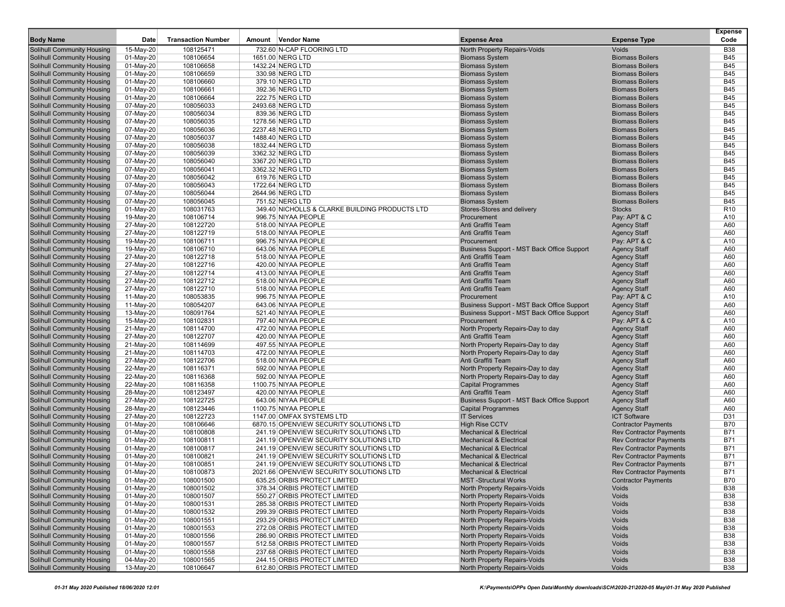|                                   |           |                           |        |                                                |                                            |                                | <b>Expense</b>  |
|-----------------------------------|-----------|---------------------------|--------|------------------------------------------------|--------------------------------------------|--------------------------------|-----------------|
| <b>Body Name</b>                  | Date      | <b>Transaction Number</b> | Amount | Vendor Name                                    | <b>Expense Area</b>                        | <b>Expense Type</b>            | Code            |
| <b>Solihull Community Housing</b> | 15-May-20 | 108125471                 |        | 732.60 N-CAP FLOORING LTD                      | North Property Repairs-Voids               | Voids                          | <b>B38</b>      |
| <b>Solihull Community Housing</b> | 01-May-20 | 108106654                 |        | 1651.00 NERG LTD                               | <b>Biomass System</b>                      | <b>Biomass Boilers</b>         | <b>B45</b>      |
| <b>Solihull Community Housing</b> | 01-May-20 | 108106658                 |        | 1432.24 NERG LTD                               | <b>Biomass System</b>                      | <b>Biomass Boilers</b>         | <b>B45</b>      |
| <b>Solihull Community Housing</b> | 01-May-20 | 108106659                 |        | 330.98 NERG LTD                                | <b>Biomass System</b>                      | <b>Biomass Boilers</b>         | <b>B45</b>      |
| <b>Solihull Community Housing</b> | 01-May-20 | 108106660                 |        | 379.10 NERG LTD                                | <b>Biomass System</b>                      | <b>Biomass Boilers</b>         | <b>B45</b>      |
| <b>Solihull Community Housing</b> | 01-May-20 | 108106661                 |        | 392.36 NERG LTD                                | <b>Biomass System</b>                      | <b>Biomass Boilers</b>         | <b>B45</b>      |
| Solihull Community Housing        | 01-May-20 | 108106664                 |        | 222.75 NERG LTD                                | <b>Biomass System</b>                      | <b>Biomass Boilers</b>         | <b>B45</b>      |
| <b>Solihull Community Housing</b> | 07-May-20 | 108056033                 |        | 2493.68 NERG LTD                               | <b>Biomass System</b>                      | <b>Biomass Boilers</b>         | <b>B45</b>      |
| <b>Solihull Community Housing</b> | 07-May-20 | 108056034                 |        | 839.36 NERG LTD                                | <b>Biomass System</b>                      | <b>Biomass Boilers</b>         | <b>B45</b>      |
| <b>Solihull Community Housing</b> | 07-May-20 | 108056035                 |        | 1278.56 NERG LTD                               | <b>Biomass System</b>                      | <b>Biomass Boilers</b>         | <b>B45</b>      |
| <b>Solihull Community Housing</b> | 07-May-20 | 108056036                 |        | 2237.48 NERG LTD                               | <b>Biomass System</b>                      | <b>Biomass Boilers</b>         | <b>B45</b>      |
| <b>Solihull Community Housing</b> | 07-May-20 | 108056037                 |        | 1488.40 NERG LTD                               | <b>Biomass System</b>                      | <b>Biomass Boilers</b>         | <b>B45</b>      |
| <b>Solihull Community Housing</b> | 07-May-20 | 108056038                 |        | 1832.44 NERG LTD                               | <b>Biomass System</b>                      | <b>Biomass Boilers</b>         | <b>B45</b>      |
| <b>Solihull Community Housing</b> | 07-May-20 | 108056039                 |        | 3362.32 NERG LTD                               | <b>Biomass System</b>                      | <b>Biomass Boilers</b>         | <b>B45</b>      |
| <b>Solihull Community Housing</b> | 07-May-20 | 108056040                 |        | 3367.20 NERG LTD                               | <b>Biomass System</b>                      | <b>Biomass Boilers</b>         | <b>B45</b>      |
| <b>Solihull Community Housing</b> | 07-May-20 | 108056041                 |        | 3362.32 NERG LTD                               | <b>Biomass System</b>                      | <b>Biomass Boilers</b>         | <b>B45</b>      |
| <b>Solihull Community Housing</b> | 07-May-20 | 108056042                 |        | 619.76 NERG LTD                                | <b>Biomass System</b>                      | <b>Biomass Boilers</b>         | <b>B45</b>      |
| <b>Solihull Community Housing</b> | 07-May-20 | 108056043                 |        | 1722.64 NERG LTD                               | <b>Biomass System</b>                      | <b>Biomass Boilers</b>         | <b>B45</b>      |
| <b>Solihull Community Housing</b> | 07-May-20 | 108056044                 |        | 2644.96 NERG LTD                               | <b>Biomass System</b>                      | <b>Biomass Boilers</b>         | <b>B45</b>      |
| <b>Solihull Community Housing</b> | 07-May-20 | 108056045                 |        | 751.52 NERG LTD                                | <b>Biomass System</b>                      | <b>Biomass Boilers</b>         | <b>B45</b>      |
| <b>Solihull Community Housing</b> | 01-May-20 | 108031763                 |        | 349.40 NICHOLLS & CLARKE BUILDING PRODUCTS LTD | Stores-Stores and delivery                 | <b>Stocks</b>                  | R <sub>10</sub> |
| <b>Solihull Community Housing</b> | 19-May-20 | 108106714                 |        | 996.75 NIYAA PEOPLE                            | Procurement                                | Pay: APT & C                   | A10             |
| <b>Solihull Community Housing</b> | 27-May-20 | 108122720                 |        | 518.00 NIYAA PEOPLE                            | Anti Graffiti Team                         | <b>Agency Staff</b>            | A60             |
| <b>Solihull Community Housing</b> | 27-May-20 | 108122719                 |        | 518.00 NIYAA PEOPLE                            | Anti Graffiti Team                         | <b>Agency Staff</b>            | A60             |
| <b>Solihull Community Housing</b> | 19-May-20 | 108106711                 |        | 996.75 NIYAA PEOPLE                            | Procurement                                | Pay: APT & C                   | A10             |
| <b>Solihull Community Housing</b> | 19-May-20 | 108106710                 |        | 643.06 NIYAA PEOPLE                            | Business Support - MST Back Office Support | <b>Agency Staff</b>            | A60             |
| <b>Solihull Community Housing</b> | 27-May-20 | 108122718                 |        | 518.00 NIYAA PEOPLE                            | Anti Graffiti Team                         | <b>Agency Staff</b>            | A60             |
| <b>Solihull Community Housing</b> | 27-May-20 | 108122716                 |        | 420.00 NIYAA PEOPLE                            | Anti Graffiti Team                         | <b>Agency Staff</b>            | A60             |
| Solihull Community Housing        | 27-May-20 | 108122714                 |        | 413.00 NIYAA PEOPLE                            | Anti Graffiti Team                         | <b>Agency Staff</b>            | A60             |
| <b>Solihull Community Housing</b> | 27-May-20 | 108122712                 |        | 518.00 NIYAA PEOPLE                            | Anti Graffiti Team                         | <b>Agency Staff</b>            | A60             |
| <b>Solihull Community Housing</b> | 27-May-20 | 108122710                 |        | 518.00 NIYAA PEOPLE                            | Anti Graffiti Team                         | <b>Agency Staff</b>            | A60             |
| Solihull Community Housing        | 11-May-20 | 108053835                 |        | 996.75 NIYAA PEOPLE                            | Procurement                                | Pay: APT & C                   | A10             |
| <b>Solihull Community Housing</b> | 11-May-20 | 108054207                 |        | 643.06 NIYAA PEOPLE                            | Business Support - MST Back Office Support | <b>Agency Staff</b>            | A60             |
| <b>Solihull Community Housing</b> | 13-May-20 | 108091764                 |        | 521.40 NIYAA PEOPLE                            | Business Support - MST Back Office Support | <b>Agency Staff</b>            | A60             |
| <b>Solihull Community Housing</b> | 15-May-20 | 108102831                 |        | 797.40 NIYAA PEOPLE                            | Procurement                                | Pay: APT & C                   | A10             |
| <b>Solihull Community Housing</b> | 21-May-20 | 108114700                 |        | 472.00 NIYAA PEOPLE                            | North Property Repairs-Day to day          | <b>Agency Staff</b>            | A60             |
| <b>Solihull Community Housing</b> | 27-May-20 | 108122707                 |        | 420.00 NIYAA PEOPLE                            | Anti Graffiti Team                         | <b>Agency Staff</b>            | A60             |
| <b>Solihull Community Housing</b> | 21-May-20 | 108114699                 |        | 497.55 NIYAA PEOPLE                            | North Property Repairs-Day to day          | <b>Agency Staff</b>            | A60             |
| <b>Solihull Community Housing</b> | 21-May-20 | 108114703                 |        | 472.00 NIYAA PEOPLE                            | North Property Repairs-Day to day          | <b>Agency Staff</b>            | A60             |
| <b>Solihull Community Housing</b> | 27-May-20 | 108122706                 |        | 518.00 NIYAA PEOPLE                            | Anti Graffiti Team                         | <b>Agency Staff</b>            | A60             |
| <b>Solihull Community Housing</b> | 22-May-20 | 108116371                 |        | 592.00 NIYAA PEOPLE                            | North Property Repairs-Day to day          | <b>Agency Staff</b>            | A60             |
| <b>Solihull Community Housing</b> | 22-May-20 | 108116368                 |        | 592.00 NIYAA PEOPLE                            | North Property Repairs-Day to day          | <b>Agency Staff</b>            | A60             |
| Solihull Community Housing        | 22-May-20 | 108116358                 |        | 1100.75 NIYAA PEOPLE                           | <b>Capital Programmes</b>                  | <b>Agency Staff</b>            | A60             |
| <b>Solihull Community Housing</b> | 28-May-20 | 108123497                 |        | 420.00 NIYAA PEOPLE                            | Anti Graffiti Team                         | <b>Agency Staff</b>            | A60             |
| <b>Solihull Community Housing</b> | 27-May-20 | 108122725                 |        | 643.06 NIYAA PEOPLE                            | Business Support - MST Back Office Support | <b>Agency Staff</b>            | A60             |
| <b>Solihull Community Housing</b> | 28-May-20 | 108123446                 |        | 1100.75 NIYAA PEOPLE                           | <b>Capital Programmes</b>                  | <b>Agency Staff</b>            | A60             |
| <b>Solihull Community Housing</b> | 27-May-20 | 108122723                 |        | 1147.00 OMFAX SYSTEMS LTD                      | <b>IT Services</b>                         | <b>ICT Software</b>            | D31             |
| <b>Solihull Community Housing</b> | 01-May-20 | 108106646                 |        | 6870.15 OPENVIEW SECURITY SOLUTIONS LTD        | <b>High Rise CCTV</b>                      | <b>Contractor Payments</b>     | <b>B70</b>      |
| <b>Solihull Community Housing</b> | 01-May-20 | 108100808                 |        | 241.19 OPENVIEW SECURITY SOLUTIONS LTD         | <b>Mechanical &amp; Electrical</b>         | <b>Rev Contractor Payments</b> | <b>B71</b>      |
| <b>Solihull Community Housing</b> | 01-May-20 | 108100811                 |        | 241.19 OPENVIEW SECURITY SOLUTIONS LTD         | <b>Mechanical &amp; Electrical</b>         | <b>Rev Contractor Payments</b> | <b>B71</b>      |
| <b>Solihull Community Housing</b> | 01-May-20 | 108100817                 |        | 241.19 OPENVIEW SECURITY SOLUTIONS LTD         | <b>Mechanical &amp; Electrical</b>         | <b>Rev Contractor Payments</b> | <b>B71</b>      |
| Solihull Community Housing        | 01-May-20 | 108100821                 |        | 241.19 OPENVIEW SECURITY SOLUTIONS LTD         | <b>Mechanical &amp; Electrical</b>         | <b>Rev Contractor Payments</b> | <b>B71</b>      |
| <b>Solihull Community Housing</b> | 01-May-20 | 108100851                 |        | 241.19 OPENVIEW SECURITY SOLUTIONS LTD         | <b>Mechanical &amp; Electrical</b>         | <b>Rev Contractor Payments</b> | <b>B71</b>      |
| <b>Solihull Community Housing</b> | 01-May-20 | 108100873                 |        | 2021.66 OPENVIEW SECURITY SOLUTIONS LTD        | Mechanical & Electrical                    | <b>Rev Contractor Payments</b> | <b>B71</b>      |
| <b>Solihull Community Housing</b> | 01-May-20 | 108001500                 |        | 635.25 ORBIS PROTECT LIMITED                   | <b>MST-Structural Works</b>                | <b>Contractor Payments</b>     | <b>B70</b>      |
| <b>Solihull Community Housing</b> | 01-May-20 | 108001502                 |        | 378.34 ORBIS PROTECT LIMITED                   | North Property Repairs-Voids               | Voids                          | <b>B38</b>      |
| <b>Solihull Community Housing</b> | 01-May-20 | 108001507                 |        | 550.27 ORBIS PROTECT LIMITED                   | North Property Repairs-Voids               | Voids                          | <b>B38</b>      |
| <b>Solihull Community Housing</b> | 01-May-20 | 108001531                 |        | 285.38 ORBIS PROTECT LIMITED                   | North Property Repairs-Voids               | Voids                          | <b>B38</b>      |
| <b>Solihull Community Housing</b> | 01-May-20 | 108001532                 |        | 299.39 ORBIS PROTECT LIMITED                   | North Property Repairs-Voids               | Voids                          | <b>B38</b>      |
| <b>Solihull Community Housing</b> | 01-May-20 | 108001551                 |        | 293.29 ORBIS PROTECT LIMITED                   | North Property Repairs-Voids               | Voids                          | <b>B38</b>      |
| <b>Solihull Community Housing</b> | 01-May-20 | 108001553                 |        | 272.08 ORBIS PROTECT LIMITED                   | North Property Repairs-Voids               | Voids                          | <b>B38</b>      |
| <b>Solihull Community Housing</b> | 01-May-20 | 108001556                 |        | 286.90 ORBIS PROTECT LIMITED                   | North Property Repairs-Voids               | Voids                          | <b>B38</b>      |
| <b>Solihull Community Housing</b> | 01-May-20 | 108001557                 |        | 512.58 ORBIS PROTECT LIMITED                   | <b>North Property Repairs-Voids</b>        | Voids                          | <b>B38</b>      |
| <b>Solihull Community Housing</b> | 01-May-20 | 108001558                 |        | 237.68 ORBIS PROTECT LIMITED                   | North Property Repairs-Voids               | Voids                          | <b>B38</b>      |
| <b>Solihull Community Housing</b> | 04-May-20 | 108001565                 |        | 244.15 ORBIS PROTECT LIMITED                   | <b>North Property Repairs-Voids</b>        | Voids                          | <b>B38</b>      |
| <b>Solihull Community Housing</b> | 13-May-20 | 108106647                 |        | 612.80 ORBIS PROTECT LIMITED                   | North Property Repairs-Voids               | Voids                          | <b>B38</b>      |
|                                   |           |                           |        |                                                |                                            |                                |                 |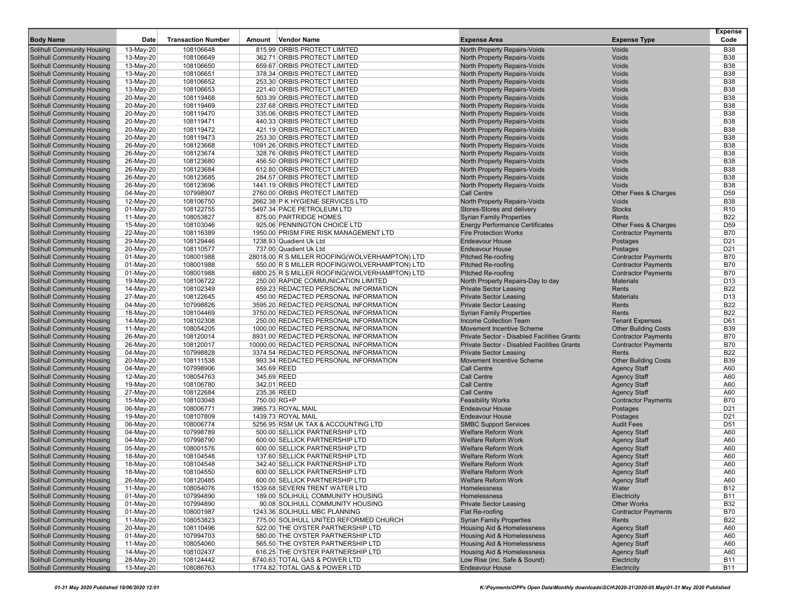|                                                                 |                        |                           |        |                                                              |                                                                     |                                            | Expense                  |
|-----------------------------------------------------------------|------------------------|---------------------------|--------|--------------------------------------------------------------|---------------------------------------------------------------------|--------------------------------------------|--------------------------|
| <b>Body Name</b>                                                | Date                   | <b>Transaction Number</b> | Amount | Vendor Name                                                  | <b>Expense Area</b>                                                 | <b>Expense Type</b>                        | Code                     |
| Solihull Community Housing                                      | 13-May-20              | 108106648                 |        | 815.99 ORBIS PROTECT LIMITED                                 | North Property Repairs-Voids                                        | Voids                                      | <b>B38</b>               |
| Solihull Community Housing                                      | 13-May-20              | 108106649                 |        | 362.71 ORBIS PROTECT LIMITED                                 | North Property Repairs-Voids                                        | Voids                                      | <b>B38</b>               |
| <b>Solihull Community Housing</b>                               | 13-May-20              | 108106650                 |        | 659.67 ORBIS PROTECT LIMITED                                 | North Property Repairs-Voids                                        | Voids                                      | <b>B38</b>               |
| Solihull Community Housing                                      | 13-May-20              | 108106651                 |        | 378.34 ORBIS PROTECT LIMITED                                 | North Property Repairs-Voids                                        | Voids                                      | <b>B38</b>               |
| Solihull Community Housing                                      | 13-May-20              | 108106652                 |        | 253.30 ORBIS PROTECT LIMITED<br>221.40 ORBIS PROTECT LIMITED | North Property Repairs-Voids                                        | Voids                                      | <b>B38</b>               |
| <b>Solihull Community Housing</b><br>Solihull Community Housing | 13-May-20<br>20-May-20 | 108106653<br>108119468    |        | 503.39 ORBIS PROTECT LIMITED                                 | North Property Repairs-Voids<br><b>North Property Repairs-Voids</b> | Voids<br>Voids                             | <b>B38</b><br><b>B38</b> |
| Solihull Community Housing                                      |                        | 108119469                 |        | 237.68 ORBIS PROTECT LIMITED                                 | North Property Repairs-Voids                                        | Voids                                      | <b>B38</b>               |
| Solihull Community Housing                                      | 20-May-20<br>20-May-20 | 108119470                 |        | 335.06 ORBIS PROTECT LIMITED                                 | North Property Repairs-Voids                                        | Voids                                      | <b>B38</b>               |
| Solihull Community Housing                                      | 20-May-20              | 108119471                 |        | 440.33 ORBIS PROTECT LIMITED                                 | North Property Repairs-Voids                                        | Voids                                      | <b>B38</b>               |
| Solihull Community Housing                                      | 20-May-20              | 108119472                 |        | 421.19 ORBIS PROTECT LIMITED                                 | North Property Repairs-Voids                                        | Voids                                      | <b>B38</b>               |
| Solihull Community Housing                                      | 20-May-20              | 108119473                 |        | 253.30 ORBIS PROTECT LIMITED                                 | North Property Repairs-Voids                                        | Voids                                      | <b>B38</b>               |
| Solihull Community Housing                                      | 26-May-20              | 108123668                 |        | 1091.26 ORBIS PROTECT LIMITED                                | North Property Repairs-Voids                                        | Voids                                      | <b>B38</b>               |
| <b>Solihull Community Housing</b>                               | 26-May-20              | 108123674                 |        | 328.76 ORBIS PROTECT LIMITED                                 | North Property Repairs-Voids                                        | Voids                                      | <b>B38</b>               |
| Solihull Community Housing                                      | 26-May-20              | 108123680                 |        | 456.50 ORBIS PROTECT LIMITED                                 | North Property Repairs-Voids                                        | Voids                                      | <b>B38</b>               |
| <b>Solihull Community Housing</b>                               | 26-May-20              | 108123684                 |        | 612.80 ORBIS PROTECT LIMITED                                 | North Property Repairs-Voids                                        | Voids                                      | <b>B38</b>               |
| Solihull Community Housing                                      | 26-May-20              | 108123685                 |        | 284.57 ORBIS PROTECT LIMITED                                 | North Property Repairs-Voids                                        | Voids                                      | <b>B38</b>               |
| Solihull Community Housing                                      | 26-May-20              | 108123696                 |        | 1441.19 ORBIS PROTECT LIMITED                                | North Property Repairs-Voids                                        | Voids                                      | <b>B38</b>               |
| <b>Solihull Community Housing</b>                               | 04-May-20              | 107998907                 |        | 2760.00 ORBIS PROTECT LIMITED                                | Call Centre                                                         | Other Fees & Charges                       | D <sub>59</sub>          |
| Solihull Community Housing                                      | 12-May-20              | 108106750                 |        | 2662.38 P K HYGIENE SERVICES LTD                             | North Property Repairs-Voids                                        | Voids                                      | <b>B38</b>               |
| Solihull Community Housing                                      | 01-May-20              | 108122755                 |        | 5497.34 PACE PETROLEUM LTD                                   | Stores-Stores and delivery                                          | <b>Stocks</b>                              | R <sub>10</sub>          |
| Solihull Community Housing                                      | 11-May-20              | 108053827                 |        | 875.00 PARTRIDGE HOMES                                       | <b>Syrian Family Properties</b>                                     | Rents                                      | <b>B22</b>               |
| Solihull Community Housing                                      | 15-May-20              | 108103046                 |        | 925.06 PENNINGTON CHOICE LTD                                 | <b>Energy Performance Certificates</b>                              | Other Fees & Charges                       | D <sub>59</sub>          |
| Solihull Community Housing                                      | 22-May-20              | 108116389                 |        | 1950.00 PRISM FIRE RISK MANAGEMENT LTD                       | <b>Fire Protection Works</b>                                        | <b>Contractor Payments</b>                 | <b>B70</b>               |
| Solihull Community Housing                                      | 29-May-20              | 108129446                 |        | 1238.93 Quadient Uk Ltd                                      | <b>Endeavour House</b>                                              | Postages                                   | D <sub>21</sub>          |
| Solihull Community Housing                                      | 20-May-20              | 108110577                 |        | 737.00 Quadient Uk Ltd                                       | <b>Endeavour House</b>                                              | Postages                                   | D <sub>21</sub>          |
| Solihull Community Housing                                      | 01-May-20              | 108001988                 |        | 28018.00 R S MILLER ROOFING(WOLVERHAMPTON) LTD               | <b>Pitched Re-roofing</b>                                           | <b>Contractor Payments</b>                 | <b>B70</b>               |
| <b>Solihull Community Housing</b>                               | 01-May-20              | 108001988                 |        | 550.00 R S MILLER ROOFING(WOLVERHAMPTON) LTD                 | <b>Pitched Re-roofing</b>                                           | <b>Contractor Payments</b>                 | <b>B70</b>               |
| Solihull Community Housing                                      | 01-May-20              | 108001988                 |        | 6800.25 R S MILLER ROOFING(WOLVERHAMPTON) LTD                | <b>Pitched Re-roofing</b>                                           | <b>Contractor Payments</b>                 | <b>B70</b>               |
| Solihull Community Housing                                      | 19-May-20              | 108106722                 |        | 250.00 RAPIDE COMMUNICATION LIMITED                          | North Property Repairs-Day to day                                   | <b>Materials</b>                           | D <sub>13</sub>          |
| Solihull Community Housing                                      | 14-May-20              | 108102349                 |        | 659.23 REDACTED PERSONAL INFORMATION                         | <b>Private Sector Leasing</b>                                       | Rents                                      | <b>B22</b>               |
| <b>Solihull Community Housing</b>                               | 27-May-20              | 108122645                 |        | 450.00 REDACTED PERSONAL INFORMATION                         | <b>Private Sector Leasing</b>                                       | <b>Materials</b>                           | D <sub>13</sub>          |
| Solihull Community Housing                                      | 04-May-20              | 107998826                 |        | 3595.20 REDACTED PERSONAL INFORMATION                        | <b>Private Sector Leasing</b>                                       | Rents                                      | <b>B22</b>               |
| Solihull Community Housing                                      | 18-May-20              | 108104469                 |        | 3750.00 REDACTED PERSONAL INFORMATION                        | <b>Syrian Family Properties</b>                                     | Rents                                      | <b>B22</b>               |
| <b>Solihull Community Housing</b>                               | 14-May-20              | 108102308                 |        | 250.00 REDACTED PERSONAL INFORMATION                         | Income Collection Team                                              | <b>Tenant Expenses</b>                     | D61                      |
| Solihull Community Housing                                      | 11-May-20              | 108054205                 |        | 1000.00 REDACTED PERSONAL INFORMATION                        | <b>Movement Incentive Scheme</b>                                    | <b>Other Building Costs</b>                | <b>B39</b>               |
| Solihull Community Housing                                      | 26-May-20              | 108120014                 |        | 8931.00 REDACTED PERSONAL INFORMATION                        | <b>Private Sector - Disabled Facilities Grants</b>                  | <b>Contractor Payments</b>                 | <b>B70</b>               |
| <b>Solihull Community Housing</b>                               | 26-May-20              | 108120017                 |        | 10000.00 REDACTED PERSONAL INFORMATION                       | Private Sector - Disabled Facilities Grants                         | <b>Contractor Payments</b>                 | <b>B70</b>               |
| <b>Solihull Community Housing</b>                               | 04-May-20              | 107998828                 |        | 3374.54 REDACTED PERSONAL INFORMATION                        | <b>Private Sector Leasing</b>                                       | Rents                                      | <b>B22</b>               |
| Solihull Community Housing                                      | 20-May-20              | 108111538<br>107998906    |        | 993.34 REDACTED PERSONAL INFORMATION<br>345.69 REED          | <b>Movement Incentive Scheme</b><br><b>Call Centre</b>              | <b>Other Building Costs</b>                | <b>B39</b><br>A60        |
| <b>Solihull Community Housing</b><br>Solihull Community Housing | 04-May-20              | 108054763                 |        | 345.69 REED                                                  | <b>Call Centre</b>                                                  | <b>Agency Staff</b><br><b>Agency Staff</b> | A60                      |
| Solihull Community Housing                                      | 12-May-20<br>19-May-20 | 108106780                 |        | 342.01 REED                                                  | <b>Call Centre</b>                                                  | <b>Agency Staff</b>                        | A60                      |
| <b>Solihull Community Housing</b>                               | 27-May-20              | 108122684                 |        | 235.36 REED                                                  | <b>Call Centre</b>                                                  | <b>Agency Staff</b>                        | A60                      |
| Solihull Community Housing                                      | 15-May-20              | 108103048                 |        | 750.00 RG+P                                                  | <b>Feasibility Works</b>                                            | <b>Contractor Payments</b>                 | <b>B70</b>               |
| Solihull Community Housing                                      | 06-May-20              | 108006771                 |        | 3965.73 ROYAL MAIL                                           | <b>Endeavour House</b>                                              | Postages                                   | D <sub>21</sub>          |
| Solihull Community Housing                                      | 19-May-20              | 108107809                 |        | 1439.73 ROYAL MAIL                                           | <b>Endeavour House</b>                                              | Postages                                   | D <sub>21</sub>          |
| <b>Solihull Community Housing</b>                               | 06-May-20              | 108006774                 |        | 5256.95 RSM UK TAX & ACCOUNTING LTD                          | <b>SMBC Support Services</b>                                        | <b>Audit Fees</b>                          | D <sub>51</sub>          |
| Solihull Community Housing                                      | 04-May-20              | 107998789                 |        | 500.00 SELLICK PARTNERSHIP LTD                               | <b>Welfare Reform Work</b>                                          | <b>Agency Staff</b>                        | A60                      |
| Solihull Community Housing                                      | 04-May-20              | 107998790                 |        | 600.00 SELLICK PARTNERSHIP LTD                               | <b>Welfare Reform Work</b>                                          | <b>Agency Staff</b>                        | A60                      |
| <b>Solihull Community Housing</b>                               | 05-May-20              | 108001576                 |        | 600.00 SELLICK PARTNERSHIP LTD                               | <b>Welfare Reform Work</b>                                          | <b>Agency Staff</b>                        | A60                      |
| Solihull Community Housing                                      | 18-May-20              | 108104548                 |        | 137.60 SELLICK PARTNERSHIP LTD                               | <b>Welfare Reform Work</b>                                          | <b>Agency Staff</b>                        | A60                      |
| <b>Solihull Community Housing</b>                               | 18-May-20              | 108104548                 |        | 342.40 SELLICK PARTNERSHIP LTD                               | <b>Welfare Reform Work</b>                                          | <b>Agency Staff</b>                        | A60                      |
| <b>Solihull Community Housing</b>                               | 18-May-20              | 108104550                 |        | 600.00 SELLICK PARTNERSHIP LTD                               | Welfare Reform Work                                                 | Agency Staff                               | A60                      |
| <b>Solihull Community Housing</b>                               | 26-May-20              | 108120485                 |        | 600.00 SELLICK PARTNERSHIP LTD                               | <b>Welfare Reform Work</b>                                          | <b>Agency Staff</b>                        | A60                      |
| <b>Solihull Community Housing</b>                               | 11-May-20              | 108054076                 |        | 1539.68 SEVERN TRENT WATER LTD                               | Homelessness                                                        | Water                                      | <b>B12</b>               |
| <b>Solihull Community Housing</b>                               | 01-May-20              | 107994890                 |        | 189.00 SOLIHULL COMMUNITY HOUSING                            | Homelessness                                                        | Electricity                                | <b>B11</b>               |
| <b>Solihull Community Housing</b>                               | 01-May-20              | 107994890                 |        | 90.08 SOLIHULL COMMUNITY HOUSING                             | <b>Private Sector Leasing</b>                                       | <b>Other Works</b>                         | <b>B32</b>               |
| <b>Solihull Community Housing</b>                               | 01-May-20              | 108001987                 |        | 1243.36 SOLIHULL MBC PLANNING                                | Flat Re-roofing                                                     | <b>Contractor Payments</b>                 | <b>B70</b>               |
| <b>Solihull Community Housing</b>                               | 11-May-20              | 108053823                 |        | 775.00 SOLIHULL UNITED REFORMED CHURCH                       | <b>Syrian Family Properties</b>                                     | Rents                                      | <b>B22</b>               |
| Solihull Community Housing                                      | 20-May-20              | 108110496                 |        | 522.00 THE OYSTER PARTNERSHIP LTD                            | <b>Housing Aid &amp; Homelessness</b>                               | <b>Agency Staff</b>                        | A60                      |
| <b>Solihull Community Housing</b>                               | 01-May-20              | 107994703                 |        | 580.00 THE OYSTER PARTNERSHIP LTD                            | Housing Aid & Homelessness                                          | <b>Agency Staff</b>                        | A60                      |
| <b>Solihull Community Housing</b>                               | 11-May-20              | 108054060                 |        | 565.50 THE OYSTER PARTNERSHIP LTD                            | <b>Housing Aid &amp; Homelessness</b>                               | <b>Agency Staff</b>                        | A60                      |
| Solihull Community Housing                                      | 14-May-20              | 108102437                 |        | 616.25 THE OYSTER PARTNERSHIP LTD                            | Housing Aid & Homelessness                                          | <b>Agency Staff</b>                        | A60                      |
| Solihull Community Housing                                      | 28-May-20              | 108124442                 |        | 6740.63 TOTAL GAS & POWER LTD                                | Low Rise (inc. Safe & Sound)                                        | Electricity                                | <b>B11</b>               |
| <b>Solihull Community Housing</b>                               | 13-May-20              | 108086763                 |        | 1774.82 TOTAL GAS & POWER LTD                                | <b>Endeavour House</b>                                              | Electricity                                | <b>B11</b>               |